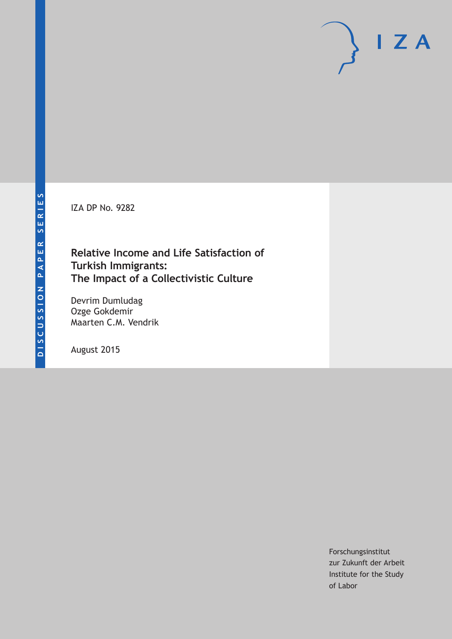IZA DP No. 9282

# **Relative Income and Life Satisfaction of Turkish Immigrants: The Impact of a Collectivistic Culture**

Devrim Dumludag Ozge Gokdemir Maarten C.M. Vendrik

August 2015

Forschungsinstitut zur Zukunft der Arbeit Institute for the Study of Labor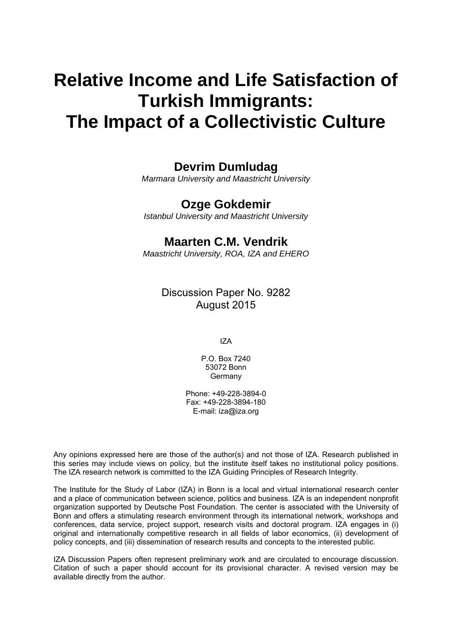# **Relative Income and Life Satisfaction of Turkish Immigrants: The Impact of a Collectivistic Culture**

# **Devrim Dumludag**

*Marmara University and Maastricht University* 

# **Ozge Gokdemir**

*Istanbul University and Maastricht University* 

# **Maarten C.M. Vendrik**

*Maastricht University, ROA, IZA and EHERO*

Discussion Paper No. 9282 August 2015

IZA

P.O. Box 7240 53072 Bonn Germany

Phone: +49-228-3894-0 Fax: +49-228-3894-180 E-mail: iza@iza.org

Any opinions expressed here are those of the author(s) and not those of IZA. Research published in this series may include views on policy, but the institute itself takes no institutional policy positions. The IZA research network is committed to the IZA Guiding Principles of Research Integrity.

The Institute for the Study of Labor (IZA) in Bonn is a local and virtual international research center and a place of communication between science, politics and business. IZA is an independent nonprofit organization supported by Deutsche Post Foundation. The center is associated with the University of Bonn and offers a stimulating research environment through its international network, workshops and conferences, data service, project support, research visits and doctoral program. IZA engages in (i) original and internationally competitive research in all fields of labor economics, (ii) development of policy concepts, and (iii) dissemination of research results and concepts to the interested public.

IZA Discussion Papers often represent preliminary work and are circulated to encourage discussion. Citation of such a paper should account for its provisional character. A revised version may be available directly from the author.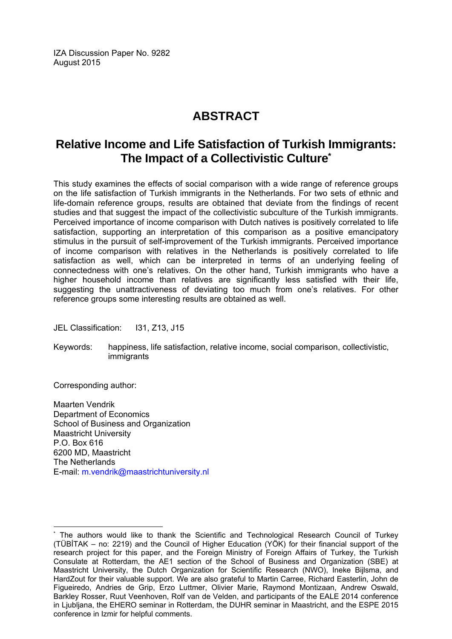IZA Discussion Paper No. 9282 August 2015

# **ABSTRACT**

# **Relative Income and Life Satisfaction of Turkish Immigrants: The Impact of a Collectivistic Culture\***

This study examines the effects of social comparison with a wide range of reference groups on the life satisfaction of Turkish immigrants in the Netherlands. For two sets of ethnic and life-domain reference groups, results are obtained that deviate from the findings of recent studies and that suggest the impact of the collectivistic subculture of the Turkish immigrants. Perceived importance of income comparison with Dutch natives is positively correlated to life satisfaction, supporting an interpretation of this comparison as a positive emancipatory stimulus in the pursuit of self-improvement of the Turkish immigrants. Perceived importance of income comparison with relatives in the Netherlands is positively correlated to life satisfaction as well, which can be interpreted in terms of an underlying feeling of connectedness with one's relatives. On the other hand, Turkish immigrants who have a higher household income than relatives are significantly less satisfied with their life, suggesting the unattractiveness of deviating too much from one's relatives. For other reference groups some interesting results are obtained as well.

JEL Classification: 131, Z13, J15

Keywords: happiness, life satisfaction, relative income, social comparison, collectivistic, immigrants

Corresponding author:

 $\overline{a}$ 

Maarten Vendrik Department of Economics School of Business and Organization Maastricht University P.O. Box 616 6200 MD, Maastricht The Netherlands E-mail: m.vendrik@maastrichtuniversity.nl

<sup>\*</sup> The authors would like to thank the Scientific and Technological Research Council of Turkey (TÜBİTAK – no: 2219) and the Council of Higher Education (YÖK) for their financial support of the research project for this paper, and the Foreign Ministry of Foreign Affairs of Turkey, the Turkish Consulate at Rotterdam, the AE1 section of the School of Business and Organization (SBE) at Maastricht University, the Dutch Organization for Scientific Research (NWO), Ineke Bijlsma, and HardZout for their valuable support. We are also grateful to Martin Carree, Richard Easterlin, John de Figueiredo, Andries de Grip, Erzo Luttmer, Olivier Marie, Raymond Montizaan, Andrew Oswald, Barkley Rosser, Ruut Veenhoven, Rolf van de Velden, and participants of the EALE 2014 conference in Ljubljana, the EHERO seminar in Rotterdam, the DUHR seminar in Maastricht, and the ESPE 2015 conference in Izmir for helpful comments.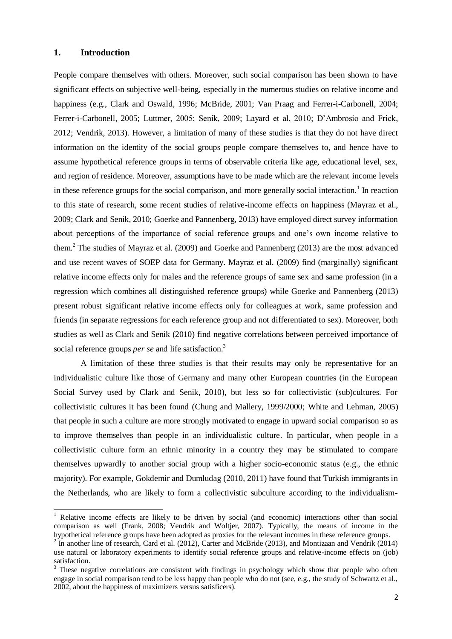### **1. Introduction**

 $\overline{a}$ 

People compare themselves with others. Moreover, such social comparison has been shown to have significant effects on subjective well-being, especially in the numerous studies on relative income and happiness (e.g., Clark and Oswald, 1996; McBride, 2001; Van Praag and Ferrer-i-Carbonell, 2004; Ferrer-i-Carbonell, 2005; Luttmer, 2005; Senik, 2009; Layard et al, 2010; D'Ambrosio and Frick, 2012; Vendrik, 2013). However, a limitation of many of these studies is that they do not have direct information on the identity of the social groups people compare themselves to, and hence have to assume hypothetical reference groups in terms of observable criteria like age, educational level, sex, and region of residence. Moreover, assumptions have to be made which are the relevant income levels in these reference groups for the social comparison, and more generally social interaction.<sup>1</sup> In reaction to this state of research, some recent studies of relative-income effects on happiness (Mayraz et al., 2009; Clark and Senik, 2010; Goerke and Pannenberg, 2013) have employed direct survey information about perceptions of the importance of social reference groups and one's own income relative to them.<sup>2</sup> The studies of Mayraz et al. (2009) and Goerke and Pannenberg (2013) are the most advanced and use recent waves of SOEP data for Germany. Mayraz et al. (2009) find (marginally) significant relative income effects only for males and the reference groups of same sex and same profession (in a regression which combines all distinguished reference groups) while Goerke and Pannenberg (2013) present robust significant relative income effects only for colleagues at work, same profession and friends (in separate regressions for each reference group and not differentiated to sex). Moreover, both studies as well as Clark and Senik (2010) find negative correlations between perceived importance of social reference groups *per se* and life satisfaction.<sup>3</sup>

A limitation of these three studies is that their results may only be representative for an individualistic culture like those of Germany and many other European countries (in the European Social Survey used by Clark and Senik, 2010), but less so for collectivistic (sub)cultures. For collectivistic cultures it has been found (Chung and Mallery, 1999/2000; White and Lehman, 2005) that people in such a culture are more strongly motivated to engage in upward social comparison so as to improve themselves than people in an individualistic culture. In particular, when people in a collectivistic culture form an ethnic minority in a country they may be stimulated to compare themselves upwardly to another social group with a higher socio-economic status (e.g., the ethnic majority). For example, Gokdemir and Dumludag (2010, 2011) have found that Turkish immigrants in the Netherlands, who are likely to form a collectivistic subculture according to the individualism-

<sup>&</sup>lt;sup>1</sup> Relative income effects are likely to be driven by social (and economic) interactions other than social comparison as well (Frank, 2008; Vendrik and Woltjer, 2007). Typically, the means of income in the hypothetical reference groups have been adopted as proxies for the relevant incomes in these reference groups.

 $^{2}$  In another line of research, Card et al. (2012), Carter and McBride (2013), and Montizaan and Vendrik (2014) use natural or laboratory experiments to identify social reference groups and relative-income effects on (job) satisfaction.

 $3$  These negative correlations are consistent with findings in psychology which show that people who often engage in social comparison tend to be less happy than people who do not (see, e.g., the study of Schwartz et al., 2002, about the happiness of maximizers versus satisficers).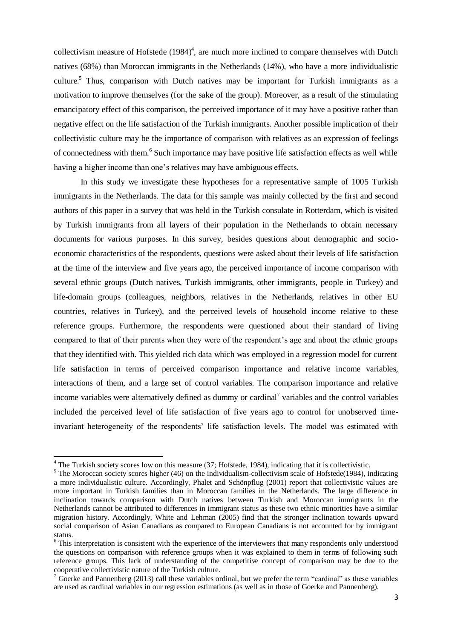collectivism measure of Hofstede  $(1984)^4$ , are much more inclined to compare themselves with Dutch natives (68%) than Moroccan immigrants in the Netherlands (14%), who have a more individualistic culture. <sup>5</sup> Thus, comparison with Dutch natives may be important for Turkish immigrants as a motivation to improve themselves (for the sake of the group). Moreover, as a result of the stimulating emancipatory effect of this comparison, the perceived importance of it may have a positive rather than negative effect on the life satisfaction of the Turkish immigrants. Another possible implication of their collectivistic culture may be the importance of comparison with relatives as an expression of feelings of connectedness with them.<sup>6</sup> Such importance may have positive life satisfaction effects as well while having a higher income than one's relatives may have ambiguous effects.

In this study we investigate these hypotheses for a representative sample of 1005 Turkish immigrants in the Netherlands. The data for this sample was mainly collected by the first and second authors of this paper in a survey that was held in the Turkish consulate in Rotterdam, which is visited by Turkish immigrants from all layers of their population in the Netherlands to obtain necessary documents for various purposes. In this survey, besides questions about demographic and socioeconomic characteristics of the respondents, questions were asked about their levels of life satisfaction at the time of the interview and five years ago, the perceived importance of income comparison with several ethnic groups (Dutch natives, Turkish immigrants, other immigrants, people in Turkey) and life-domain groups (colleagues, neighbors, relatives in the Netherlands, relatives in other EU countries, relatives in Turkey), and the perceived levels of household income relative to these reference groups. Furthermore, the respondents were questioned about their standard of living compared to that of their parents when they were of the respondent's age and about the ethnic groups that they identified with. This yielded rich data which was employed in a regression model for current life satisfaction in terms of perceived comparison importance and relative income variables, interactions of them, and a large set of control variables. The comparison importance and relative income variables were alternatively defined as dummy or cardinal<sup>7</sup> variables and the control variables included the perceived level of life satisfaction of five years ago to control for unobserved timeinvariant heterogeneity of the respondents' life satisfaction levels. The model was estimated with

<sup>&</sup>lt;sup>4</sup> The Turkish society scores low on this measure (37; Hofstede, 1984), indicating that it is collectivistic.

<sup>&</sup>lt;sup>5</sup> The Moroccan society scores higher (46) on the individualism-collectivism scale of Hofstede(1984), indicating a more individualistic culture. Accordingly, Phalet and Schönpflug (2001) report that collectivistic values are more important in Turkish families than in Moroccan families in the Netherlands. The large difference in inclination towards comparison with Dutch natives between Turkish and Moroccan immigrants in the Netherlands cannot be attributed to differences in immigrant status as these two ethnic minorities have a similar migration history. Accordingly, White and Lehman (2005) find that the stronger inclination towards upward social comparison of Asian Canadians as compared to European Canadians is not accounted for by immigrant status.

<sup>&</sup>lt;sup>6</sup> This interpretation is consistent with the experience of the interviewers that many respondents only understood the questions on comparison with reference groups when it was explained to them in terms of following such reference groups. This lack of understanding of the competitive concept of comparison may be due to the cooperative collectivistic nature of the Turkish culture.

<sup>&</sup>lt;sup>7</sup> Goerke and Pannenberg (2013) call these variables ordinal, but we prefer the term "cardinal" as these variables are used as cardinal variables in our regression estimations (as well as in those of Goerke and Pannenberg).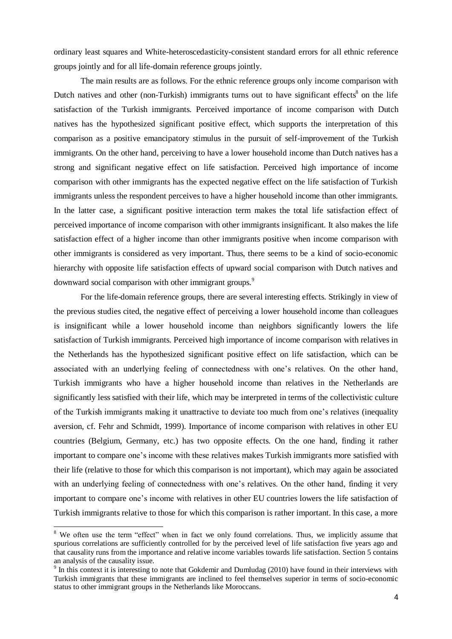ordinary least squares and White-heteroscedasticity-consistent standard errors for all ethnic reference groups jointly and for all life-domain reference groups jointly.

The main results are as follows. For the ethnic reference groups only income comparison with Dutch natives and other (non-Turkish) immigrants turns out to have significant effects<sup>8</sup> on the life satisfaction of the Turkish immigrants. Perceived importance of income comparison with Dutch natives has the hypothesized significant positive effect, which supports the interpretation of this comparison as a positive emancipatory stimulus in the pursuit of self-improvement of the Turkish immigrants. On the other hand, perceiving to have a lower household income than Dutch natives has a strong and significant negative effect on life satisfaction. Perceived high importance of income comparison with other immigrants has the expected negative effect on the life satisfaction of Turkish immigrants unless the respondent perceives to have a higher household income than other immigrants. In the latter case, a significant positive interaction term makes the total life satisfaction effect of perceived importance of income comparison with other immigrants insignificant. It also makes the life satisfaction effect of a higher income than other immigrants positive when income comparison with other immigrants is considered as very important. Thus, there seems to be a kind of socio-economic hierarchy with opposite life satisfaction effects of upward social comparison with Dutch natives and downward social comparison with other immigrant groups.<sup>9</sup>

For the life-domain reference groups, there are several interesting effects. Strikingly in view of the previous studies cited, the negative effect of perceiving a lower household income than colleagues is insignificant while a lower household income than neighbors significantly lowers the life satisfaction of Turkish immigrants. Perceived high importance of income comparison with relatives in the Netherlands has the hypothesized significant positive effect on life satisfaction, which can be associated with an underlying feeling of connectedness with one's relatives. On the other hand, Turkish immigrants who have a higher household income than relatives in the Netherlands are significantly less satisfied with their life, which may be interpreted in terms of the collectivistic culture of the Turkish immigrants making it unattractive to deviate too much from one's relatives (inequality aversion, cf. Fehr and Schmidt, 1999). Importance of income comparison with relatives in other EU countries (Belgium, Germany, etc.) has two opposite effects. On the one hand, finding it rather important to compare one's income with these relatives makes Turkish immigrants more satisfied with their life (relative to those for which this comparison is not important), which may again be associated with an underlying feeling of connectedness with one's relatives. On the other hand, finding it very important to compare one's income with relatives in other EU countries lowers the life satisfaction of Turkish immigrants relative to those for which this comparison is rather important. In this case, a more

 $\overline{a}$ 

 $8$  We often use the term "effect" when in fact we only found correlations. Thus, we implicitly assume that spurious correlations are sufficiently controlled for by the perceived level of life satisfaction five years ago and that causality runs from the importance and relative income variables towards life satisfaction. Section 5 contains an analysis of the causality issue.

 $9$  In this context it is interesting to note that Gokdemir and Dumludag (2010) have found in their interviews with Turkish immigrants that these immigrants are inclined to feel themselves superior in terms of socio-economic status to other immigrant groups in the Netherlands like Moroccans.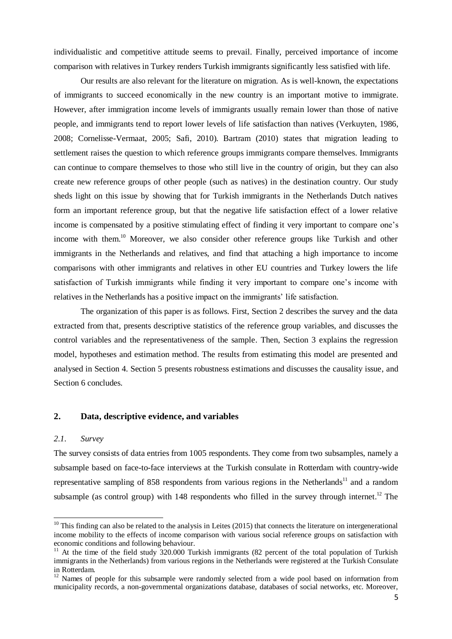individualistic and competitive attitude seems to prevail. Finally, perceived importance of income comparison with relatives in Turkey renders Turkish immigrants significantly less satisfied with life.

Our results are also relevant for the literature on migration. As is well-known, the expectations of immigrants to succeed economically in the new country is an important motive to immigrate. However, after immigration income levels of immigrants usually remain lower than those of native people, and immigrants tend to report lower levels of life satisfaction than natives (Verkuyten, 1986, 2008; Cornelisse-Vermaat, 2005; Safi, 2010). Bartram (2010) states that migration leading to settlement raises the question to which reference groups immigrants compare themselves. Immigrants can continue to compare themselves to those who still live in the country of origin, but they can also create new reference groups of other people (such as natives) in the destination country. Our study sheds light on this issue by showing that for Turkish immigrants in the Netherlands Dutch natives form an important reference group, but that the negative life satisfaction effect of a lower relative income is compensated by a positive stimulating effect of finding it very important to compare one's income with them.<sup>10</sup> Moreover, we also consider other reference groups like Turkish and other immigrants in the Netherlands and relatives, and find that attaching a high importance to income comparisons with other immigrants and relatives in other EU countries and Turkey lowers the life satisfaction of Turkish immigrants while finding it very important to compare one's income with relatives in the Netherlands has a positive impact on the immigrants' life satisfaction.

The organization of this paper is as follows. First, Section 2 describes the survey and the data extracted from that, presents descriptive statistics of the reference group variables, and discusses the control variables and the representativeness of the sample. Then, Section 3 explains the regression model, hypotheses and estimation method. The results from estimating this model are presented and analysed in Section 4. Section 5 presents robustness estimations and discusses the causality issue, and Section 6 concludes.

#### **2. Data, descriptive evidence, and variables**

# *2.1. Survey*

 $\overline{a}$ 

The survey consists of data entries from 1005 respondents. They come from two subsamples, namely a subsample based on face-to-face interviews at the Turkish consulate in Rotterdam with country-wide representative sampling of 858 respondents from various regions in the Netherlands<sup>11</sup> and a random subsample (as control group) with  $148$  respondents who filled in the survey through internet.<sup>12</sup> The

 $10$  This finding can also be related to the analysis in Leites (2015) that connects the literature on intergenerational income mobility to the effects of income comparison with various social reference groups on satisfaction with economic conditions and following behaviour.

<sup>&</sup>lt;sup>11</sup> At the time of the field study 320.000 Turkish immigrants (82 percent of the total population of Turkish immigrants in the Netherlands) from various regions in the Netherlands were registered at the Turkish Consulate in Rotterdam.

 $12$  Names of people for this subsample were randomly selected from a wide pool based on information from municipality records, a non-governmental organizations database, databases of social networks, etc. Moreover,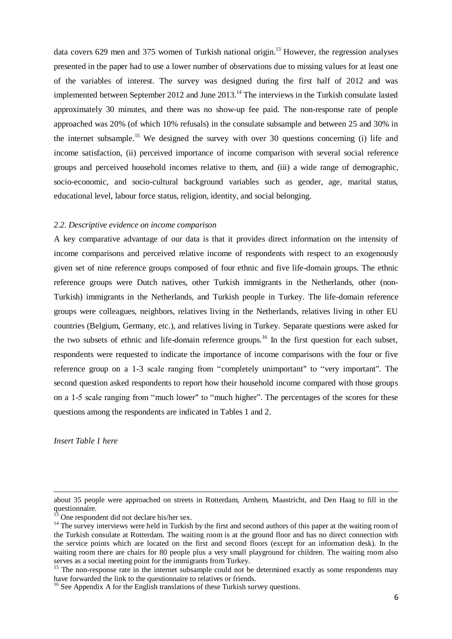data covers 629 men and 375 women of Turkish national origin.<sup>13</sup> However, the regression analyses presented in the paper had to use a lower number of observations due to missing values for at least one of the variables of interest. The survey was designed during the first half of 2012 and was implemented between September 2012 and June 2013.<sup>14</sup> The interviews in the Turkish consulate lasted approximately 30 minutes, and there was no show-up fee paid. The non-response rate of people approached was 20% (of which 10% refusals) in the consulate subsample and between 25 and 30% in the internet subsample.<sup>15</sup> We designed the survey with over 30 questions concerning (i) life and income satisfaction, (ii) perceived importance of income comparison with several social reference groups and perceived household incomes relative to them, and (iii) a wide range of demographic, socio-economic, and socio-cultural background variables such as gender, age, marital status, educational level, labour force status, religion, identity, and social belonging.

#### *2.2. Descriptive evidence on income comparison*

A key comparative advantage of our data is that it provides direct information on the intensity of income comparisons and perceived relative income of respondents with respect to an exogenously given set of nine reference groups composed of four ethnic and five life-domain groups. The ethnic reference groups were Dutch natives, other Turkish immigrants in the Netherlands, other (non-Turkish) immigrants in the Netherlands, and Turkish people in Turkey. The life-domain reference groups were colleagues, neighbors, relatives living in the Netherlands, relatives living in other EU countries (Belgium, Germany, etc.), and relatives living in Turkey. Separate questions were asked for the two subsets of ethnic and life-domain reference groups.<sup>16</sup> In the first question for each subset, respondents were requested to indicate the importance of income comparisons with the four or five reference group on a 1-3 scale ranging from "completely unimportant" to "very important". The second question asked respondents to report how their household income compared with those groups on a 1-5 scale ranging from "much lower" to "much higher". The percentages of the scores for these questions among the respondents are indicated in Tables 1 and 2.

*Insert Table 1 here*

 $\overline{a}$ 

about 35 people were approached on streets in Rotterdam, Arnhem, Maastricht, and Den Haag to fill in the questionnaire.

One respondent did not declare his/her sex.

<sup>&</sup>lt;sup>14</sup> The survey interviews were held in Turkish by the first and second authors of this paper at the waiting room of the Turkish consulate at Rotterdam. The waiting room is at the ground floor and has no direct connection with the service points which are located on the first and second floors (except for an information desk). In the waiting room there are chairs for 80 people plus a very small playground for children. The waiting room also serves as a social meeting point for the immigrants from Turkey.

<sup>&</sup>lt;sup>15</sup> The non-response rate in the internet subsample could not be determined exactly as some respondents may have forwarded the link to the questionnaire to relatives or friends.

<sup>&</sup>lt;sup>16</sup> See Appendix A for the English translations of these Turkish survey questions.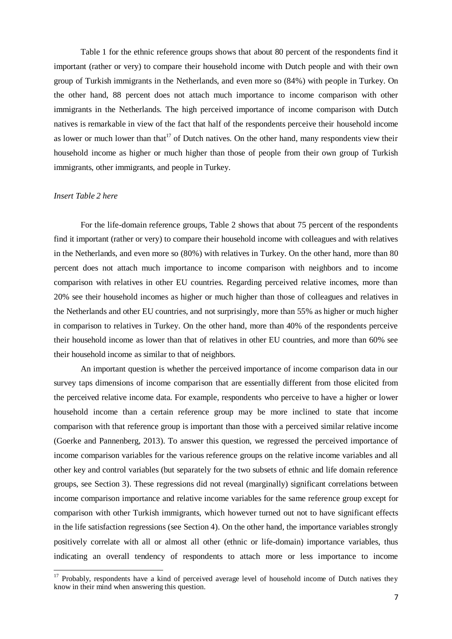Table 1 for the ethnic reference groups shows that about 80 percent of the respondents find it important (rather or very) to compare their household income with Dutch people and with their own group of Turkish immigrants in the Netherlands, and even more so (84%) with people in Turkey. On the other hand, 88 percent does not attach much importance to income comparison with other immigrants in the Netherlands. The high perceived importance of income comparison with Dutch natives is remarkable in view of the fact that half of the respondents perceive their household income as lower or much lower than that<sup>17</sup> of Dutch natives. On the other hand, many respondents view their household income as higher or much higher than those of people from their own group of Turkish immigrants, other immigrants, and people in Turkey.

### *Insert Table 2 here*

 $\overline{a}$ 

For the life-domain reference groups, Table 2 shows that about 75 percent of the respondents find it important (rather or very) to compare their household income with colleagues and with relatives in the Netherlands, and even more so (80%) with relatives in Turkey. On the other hand, more than 80 percent does not attach much importance to income comparison with neighbors and to income comparison with relatives in other EU countries. Regarding perceived relative incomes, more than 20% see their household incomes as higher or much higher than those of colleagues and relatives in the Netherlands and other EU countries, and not surprisingly, more than 55% as higher or much higher in comparison to relatives in Turkey. On the other hand, more than 40% of the respondents perceive their household income as lower than that of relatives in other EU countries, and more than 60% see their household income as similar to that of neighbors.

An important question is whether the perceived importance of income comparison data in our survey taps dimensions of income comparison that are essentially different from those elicited from the perceived relative income data. For example, respondents who perceive to have a higher or lower household income than a certain reference group may be more inclined to state that income comparison with that reference group is important than those with a perceived similar relative income (Goerke and Pannenberg, 2013). To answer this question, we regressed the perceived importance of income comparison variables for the various reference groups on the relative income variables and all other key and control variables (but separately for the two subsets of ethnic and life domain reference groups, see Section 3). These regressions did not reveal (marginally) significant correlations between income comparison importance and relative income variables for the same reference group except for comparison with other Turkish immigrants, which however turned out not to have significant effects in the life satisfaction regressions (see Section 4). On the other hand, the importance variables strongly positively correlate with all or almost all other (ethnic or life-domain) importance variables, thus indicating an overall tendency of respondents to attach more or less importance to income

<sup>&</sup>lt;sup>17</sup> Probably, respondents have a kind of perceived average level of household income of Dutch natives they know in their mind when answering this question.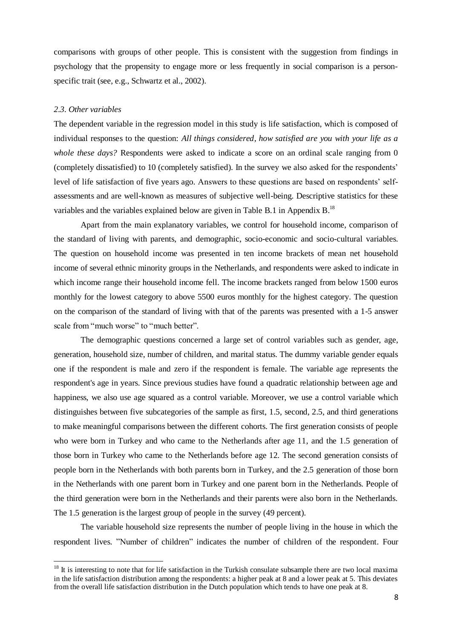comparisons with groups of other people. This is consistent with the suggestion from findings in psychology that the propensity to engage more or less frequently in social comparison is a personspecific trait (see, e.g., Schwartz et al., 2002).

#### *2.3. Other variables*

 $\overline{a}$ 

The dependent variable in the regression model in this study is life satisfaction, which is composed of individual responses to the question: *All things considered, how satisfied are you with your life as a whole these days?* Respondents were asked to indicate a score on an ordinal scale ranging from 0 (completely dissatisfied) to 10 (completely satisfied). In the survey we also asked for the respondents' level of life satisfaction of five years ago. Answers to these questions are based on respondents' selfassessments and are well-known as measures of subjective well-being. Descriptive statistics for these variables and the variables explained below are given in Table B.1 in Appendix B.<sup>18</sup>

Apart from the main explanatory variables, we control for household income, comparison of the standard of living with parents, and demographic, socio-economic and socio-cultural variables. The question on household income was presented in ten income brackets of mean net household income of several ethnic minority groups in the Netherlands, and respondents were asked to indicate in which income range their household income fell. The income brackets ranged from below 1500 euros monthly for the lowest category to above 5500 euros monthly for the highest category. The question on the comparison of the standard of living with that of the parents was presented with a 1-5 answer scale from "much worse" to "much better".

The demographic questions concerned a large set of control variables such as gender, age, generation, household size, number of children, and marital status. The dummy variable gender equals one if the respondent is male and zero if the respondent is female. The variable age represents the respondent's age in years. Since previous studies have found a quadratic relationship between age and happiness, we also use age squared as a control variable. Moreover, we use a control variable which distinguishes between five subcategories of the sample as first, 1.5, second, 2.5, and third generations to make meaningful comparisons between the different cohorts. The first generation consists of people who were born in Turkey and who came to the Netherlands after age 11, and the 1.5 generation of those born in Turkey who came to the Netherlands before age 12. The second generation consists of people born in the Netherlands with both parents born in Turkey, and the 2.5 generation of those born in the Netherlands with one parent born in Turkey and one parent born in the Netherlands. People of the third generation were born in the Netherlands and their parents were also born in the Netherlands. The 1.5 generation is the largest group of people in the survey (49 percent).

The variable household size represents the number of people living in the house in which the respondent lives. "Number of children" indicates the number of children of the respondent. Four

 $18$  It is interesting to note that for life satisfaction in the Turkish consulate subsample there are two local maxima in the life satisfaction distribution among the respondents: a higher peak at 8 and a lower peak at 5. This deviates from the overall life satisfaction distribution in the Dutch population which tends to have one peak at 8.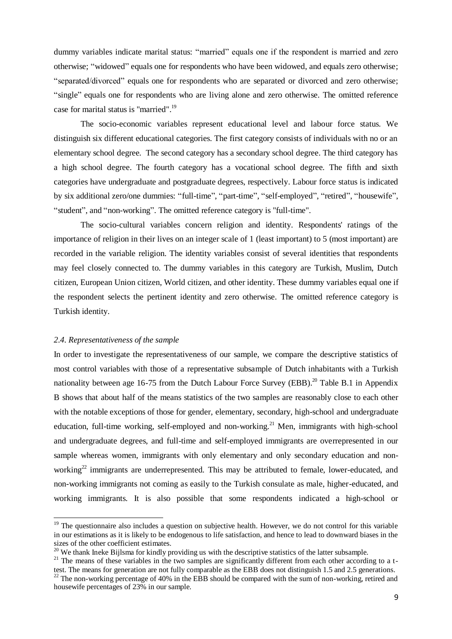dummy variables indicate marital status: "married" equals one if the respondent is married and zero otherwise; "widowed" equals one for respondents who have been widowed, and equals zero otherwise; "separated/divorced" equals one for respondents who are separated or divorced and zero otherwise; "single" equals one for respondents who are living alone and zero otherwise. The omitted reference case for marital status is "married". 19

The socio-economic variables represent educational level and labour force status. We distinguish six different educational categories. The first category consists of individuals with no or an elementary school degree. The second category has a secondary school degree. The third category has a high school degree. The fourth category has a vocational school degree. The fifth and sixth categories have undergraduate and postgraduate degrees, respectively. Labour force status is indicated by six additional zero/one dummies: "full-time", "part-time", "self-employed", "retired", "housewife", "student", and "non-working". The omitted reference category is "full-time".

The socio-cultural variables concern religion and identity. Respondents' ratings of the importance of religion in their lives on an integer scale of 1 (least important) to 5 (most important) are recorded in the variable religion. The identity variables consist of several identities that respondents may feel closely connected to. The dummy variables in this category are Turkish, Muslim, Dutch citizen, European Union citizen, World citizen, and other identity. These dummy variables equal one if the respondent selects the pertinent identity and zero otherwise. The omitted reference category is Turkish identity.

#### *2.4. Representativeness of the sample*

 $\overline{a}$ 

In order to investigate the representativeness of our sample, we compare the descriptive statistics of most control variables with those of a representative subsample of Dutch inhabitants with a Turkish nationality between age 16-75 from the Dutch Labour Force Survey (EBB).<sup>20</sup> Table B.1 in Appendix B shows that about half of the means statistics of the two samples are reasonably close to each other with the notable exceptions of those for gender, elementary, secondary, high-school and undergraduate education, full-time working, self-employed and non-working.<sup>21</sup> Men, immigrants with high-school and undergraduate degrees, and full-time and self-employed immigrants are overrepresented in our sample whereas women, immigrants with only elementary and only secondary education and nonworking<sup>22</sup> immigrants are underrepresented. This may be attributed to female, lower-educated, and non-working immigrants not coming as easily to the Turkish consulate as male, higher-educated, and working immigrants. It is also possible that some respondents indicated a high-school or

 $19$  The questionnaire also includes a question on subjective health. However, we do not control for this variable in our estimations as it is likely to be endogenous to life satisfaction, and hence to lead to downward biases in the sizes of the other coefficient estimates.

<sup>&</sup>lt;sup>20</sup> We thank Ineke Bijlsma for kindly providing us with the descriptive statistics of the latter subsample.

 $21$  The means of these variables in the two samples are significantly different from each other according to a ttest. The means for generation are not fully comparable as the EBB does not distinguish 1.5 and 2.5 generations.

 $^{22}$  The non-working percentage of 40% in the EBB should be compared with the sum of non-working, retired and housewife percentages of 23% in our sample.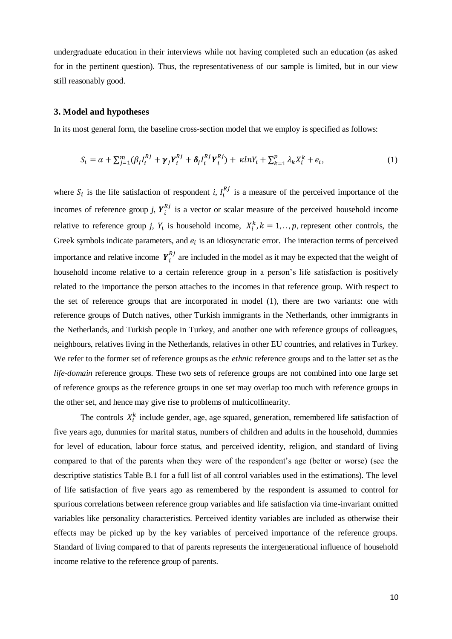undergraduate education in their interviews while not having completed such an education (as asked for in the pertinent question). Thus, the representativeness of our sample is limited, but in our view still reasonably good.

# **3. Model and hypotheses**

In its most general form, the baseline cross-section model that we employ is specified as follows:

$$
S_i = \alpha + \sum_{j=1}^{m} (\beta_j I_i^{Rj} + \gamma_j Y_i^{Rj} + \delta_j I_i^{Rj} Y_i^{Rj}) + \kappa ln Y_i + \sum_{k=1}^{p} \lambda_k X_i^k + e_i,
$$
 (1)

where  $S_i$  is the life satisfaction of respondent *i*,  $I_i^{Rj}$  is a measure of the perceived importance of the incomes of reference group *j*,  $Y_i^{Rj}$  is a vector or scalar measure of the perceived household income relative to reference group *j*,  $Y_i$  is household income,  $X_i^k$ ,  $k = 1, \ldots, p$ , represent other controls, the Greek symbols indicate parameters, and  $e_i$  is an idiosyncratic error. The interaction terms of perceived importance and relative income  $Y_i^{Rj}$  are included in the model as it may be expected that the weight of household income relative to a certain reference group in a person's life satisfaction is positively related to the importance the person attaches to the incomes in that reference group. With respect to the set of reference groups that are incorporated in model (1), there are two variants: one with reference groups of Dutch natives, other Turkish immigrants in the Netherlands, other immigrants in the Netherlands, and Turkish people in Turkey, and another one with reference groups of colleagues, neighbours, relatives living in the Netherlands, relatives in other EU countries, and relatives in Turkey. We refer to the former set of reference groups as the *ethnic* reference groups and to the latter set as the *life-domain* reference groups. These two sets of reference groups are not combined into one large set of reference groups as the reference groups in one set may overlap too much with reference groups in the other set, and hence may give rise to problems of multicollinearity.

The controls  $X_i^k$  include gender, age, age squared, generation, remembered life satisfaction of five years ago, dummies for marital status, numbers of children and adults in the household, dummies for level of education, labour force status, and perceived identity, religion, and standard of living compared to that of the parents when they were of the respondent's age (better or worse) (see the descriptive statistics Table B.1 for a full list of all control variables used in the estimations). The level of life satisfaction of five years ago as remembered by the respondent is assumed to control for spurious correlations between reference group variables and life satisfaction via time-invariant omitted variables like personality characteristics. Perceived identity variables are included as otherwise their effects may be picked up by the key variables of perceived importance of the reference groups. Standard of living compared to that of parents represents the intergenerational influence of household income relative to the reference group of parents.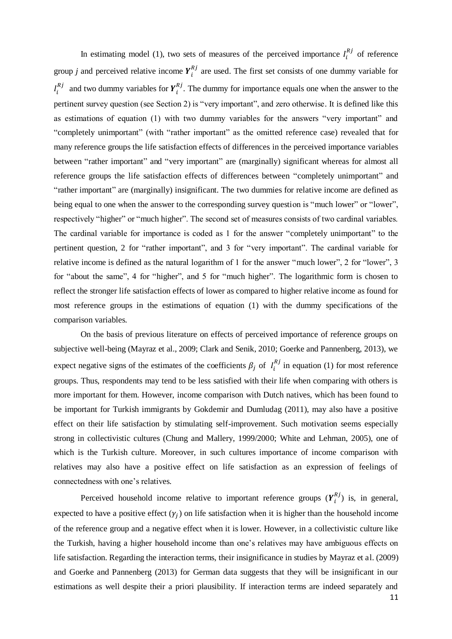In estimating model (1), two sets of measures of the perceived importance  $I_i^{Rj}$  of reference group *j* and perceived relative income  $Y_i^{Rj}$  are used. The first set consists of one dummy variable for  $I_i'$  $a_i^{Rj}$  and two dummy variables for  $Y_i^{Rj}$ . The dummy for importance equals one when the answer to the pertinent survey question (see Section 2) is "very important", and zero otherwise. It is defined like this as estimations of equation (1) with two dummy variables for the answers "very important" and "completely unimportant" (with "rather important" as the omitted reference case) revealed that for many reference groups the life satisfaction effects of differences in the perceived importance variables between "rather important" and "very important" are (marginally) significant whereas for almost all reference groups the life satisfaction effects of differences between "completely unimportant" and "rather important" are (marginally) insignificant. The two dummies for relative income are defined as being equal to one when the answer to the corresponding survey question is "much lower" or "lower", respectively "higher" or "much higher". The second set of measures consists of two cardinal variables. The cardinal variable for importance is coded as 1 for the answer "completely unimportant" to the pertinent question, 2 for "rather important", and 3 for "very important". The cardinal variable for relative income is defined as the natural logarithm of 1 for the answer "much lower", 2 for "lower", 3 for "about the same", 4 for "higher", and 5 for "much higher". The logarithmic form is chosen to reflect the stronger life satisfaction effects of lower as compared to higher relative income as found for most reference groups in the estimations of equation (1) with the dummy specifications of the comparison variables.

On the basis of previous literature on effects of perceived importance of reference groups on subjective well-being (Mayraz et al., 2009; Clark and Senik, 2010; Goerke and Pannenberg, 2013), we expect negative signs of the estimates of the coefficients  $\beta_j$  of  $I_i^{Rj}$  in equation (1) for most reference groups. Thus, respondents may tend to be less satisfied with their life when comparing with others is more important for them. However, income comparison with Dutch natives, which has been found to be important for Turkish immigrants by Gokdemir and Dumludag (2011), may also have a positive effect on their life satisfaction by stimulating self-improvement. Such motivation seems especially strong in collectivistic cultures (Chung and Mallery, 1999/2000; White and Lehman, 2005), one of which is the Turkish culture. Moreover, in such cultures importance of income comparison with relatives may also have a positive effect on life satisfaction as an expression of feelings of connectedness with one's relatives.

Perceived household income relative to important reference groups  $(Y_i^{R_j})$  is, in general, expected to have a positive effect  $(y_j)$  on life satisfaction when it is higher than the household income of the reference group and a negative effect when it is lower. However, in a collectivistic culture like the Turkish, having a higher household income than one's relatives may have ambiguous effects on life satisfaction. Regarding the interaction terms, their insignificance in studies by Mayraz et al. (2009) and Goerke and Pannenberg (2013) for German data suggests that they will be insignificant in our estimations as well despite their a priori plausibility. If interaction terms are indeed separately and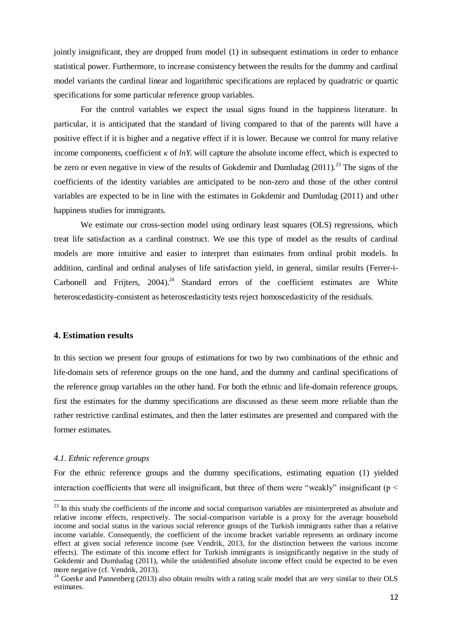jointly insignificant, they are dropped from model (1) in subsequent estimations in order to enhance statistical power. Furthermore, to increase consistency between the results for the dummy and cardinal model variants the cardinal linear and logarithmic specifications are replaced by quadratric or quartic specifications for some particular reference group variables.

For the control variables we expect the usual signs found in the happiness literature. In particular, it is anticipated that the standard of living compared to that of the parents will have a positive effect if it is higher and a negative effect if it is lower. Because we control for many relative income components, coefficient  $\kappa$  of  $lnY_i$  will capture the absolute income effect, which is expected to be zero or even negative in view of the results of Gokdemir and Dumludag  $(2011)^{23}$ . The signs of the coefficients of the identity variables are anticipated to be non-zero and those of the other control variables are expected to be in line with the estimates in Gokdemir and Dumludag (2011) and other happiness studies for immigrants.

We estimate our cross-section model using ordinary least squares (OLS) regressions, which treat life satisfaction as a cardinal construct. We use this type of model as the results of cardinal models are more intuitive and easier to interpret than estimates from ordinal probit models. In addition, cardinal and ordinal analyses of life satisfaction yield, in general, similar results (Ferrer-i-Carbonell and Frijters,  $2004$ .<sup>24</sup> Standard errors of the coefficient estimates are White heteroscedasticity-consistent as heteroscedasticity tests reject homoscedasticity of the residuals.

### **4. Estimation results**

In this section we present four groups of estimations for two by two combinations of the ethnic and life-domain sets of reference groups on the one hand, and the dummy and cardinal specifications of the reference group variables on the other hand. For both the ethnic and life-domain reference groups, first the estimates for the dummy specifications are discussed as these seem more reliable than the rather restrictive cardinal estimates, and then the latter estimates are presented and compared with the former estimates.

#### *4.1. Ethnic reference groups*

 $\overline{a}$ 

For the ethnic reference groups and the dummy specifications, estimating equation (1) yielded interaction coefficients that were all insignificant, but three of them were "weakly" insignificant ( $p <$ 

 $23$  In this study the coefficients of the income and social comparison variables are misinterpreted as absolute and relative income effects, respectively. The social-comparison variable is a proxy for the average household income and social status in the various social reference groups of the Turkish immigrants rather than a relative income variable. Consequently, the coefficient of the income bracket variable represents an ordinary income effect at given social reference income (see Vendrik, 2013, for the distinction between the various income effects). The estimate of this income effect for Turkish immigrants is insignificantly negative in the study of Gokdemir and Dumludag (2011), while the unidentified absolute income effect could be expected to be even more negative (cf. Vendrik, 2013).

<sup>&</sup>lt;sup>24</sup> Goerke and Pannenberg (2013) also obtain results with a rating scale model that are very similar to their OLS estimates.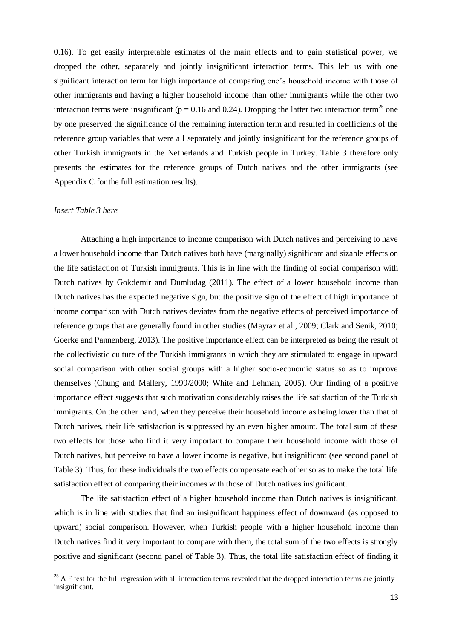0.16). To get easily interpretable estimates of the main effects and to gain statistical power, we dropped the other, separately and jointly insignificant interaction terms. This left us with one significant interaction term for high importance of comparing one's household income with those of other immigrants and having a higher household income than other immigrants while the other two interaction terms were insignificant ( $p = 0.16$  and 0.24). Dropping the latter two interaction term<sup>25</sup> one by one preserved the significance of the remaining interaction term and resulted in coefficients of the reference group variables that were all separately and jointly insignificant for the reference groups of other Turkish immigrants in the Netherlands and Turkish people in Turkey. Table 3 therefore only presents the estimates for the reference groups of Dutch natives and the other immigrants (see Appendix C for the full estimation results).

#### *Insert Table 3 here*

 $\overline{a}$ 

Attaching a high importance to income comparison with Dutch natives and perceiving to have a lower household income than Dutch natives both have (marginally) significant and sizable effects on the life satisfaction of Turkish immigrants. This is in line with the finding of social comparison with Dutch natives by Gokdemir and Dumludag (2011). The effect of a lower household income than Dutch natives has the expected negative sign, but the positive sign of the effect of high importance of income comparison with Dutch natives deviates from the negative effects of perceived importance of reference groups that are generally found in other studies (Mayraz et al., 2009; Clark and Senik, 2010; Goerke and Pannenberg, 2013). The positive importance effect can be interpreted as being the result of the collectivistic culture of the Turkish immigrants in which they are stimulated to engage in upward social comparison with other social groups with a higher socio-economic status so as to improve themselves (Chung and Mallery, 1999/2000; White and Lehman, 2005). Our finding of a positive importance effect suggests that such motivation considerably raises the life satisfaction of the Turkish immigrants. On the other hand, when they perceive their household income as being lower than that of Dutch natives, their life satisfaction is suppressed by an even higher amount. The total sum of these two effects for those who find it very important to compare their household income with those of Dutch natives, but perceive to have a lower income is negative, but insignificant (see second panel of Table 3). Thus, for these individuals the two effects compensate each other so as to make the total life satisfaction effect of comparing their incomes with those of Dutch natives insignificant.

The life satisfaction effect of a higher household income than Dutch natives is insignificant, which is in line with studies that find an insignificant happiness effect of downward (as opposed to upward) social comparison. However, when Turkish people with a higher household income than Dutch natives find it very important to compare with them, the total sum of the two effects is strongly positive and significant (second panel of Table 3). Thus, the total life satisfaction effect of finding it

 $^{25}$  A F test for the full regression with all interaction terms revealed that the dropped interaction terms are jointly insignificant.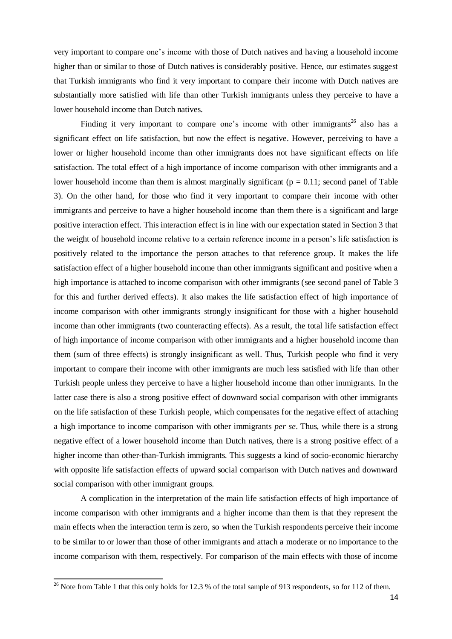very important to compare one's income with those of Dutch natives and having a household income higher than or similar to those of Dutch natives is considerably positive. Hence, our estimates suggest that Turkish immigrants who find it very important to compare their income with Dutch natives are substantially more satisfied with life than other Turkish immigrants unless they perceive to have a lower household income than Dutch natives.

Finding it very important to compare one's income with other immigrants<sup>26</sup> also has a significant effect on life satisfaction, but now the effect is negative. However, perceiving to have a lower or higher household income than other immigrants does not have significant effects on life satisfaction. The total effect of a high importance of income comparison with other immigrants and a lower household income than them is almost marginally significant ( $p = 0.11$ ; second panel of Table 3). On the other hand, for those who find it very important to compare their income with other immigrants and perceive to have a higher household income than them there is a significant and large positive interaction effect. This interaction effect is in line with our expectation stated in Section 3 that the weight of household income relative to a certain reference income in a person's life satisfaction is positively related to the importance the person attaches to that reference group. It makes the life satisfaction effect of a higher household income than other immigrants significant and positive when a high importance is attached to income comparison with other immigrants (see second panel of Table 3 for this and further derived effects). It also makes the life satisfaction effect of high importance of income comparison with other immigrants strongly insignificant for those with a higher household income than other immigrants (two counteracting effects). As a result, the total life satisfaction effect of high importance of income comparison with other immigrants and a higher household income than them (sum of three effects) is strongly insignificant as well. Thus, Turkish people who find it very important to compare their income with other immigrants are much less satisfied with life than other Turkish people unless they perceive to have a higher household income than other immigrants. In the latter case there is also a strong positive effect of downward social comparison with other immigrants on the life satisfaction of these Turkish people, which compensates for the negative effect of attaching a high importance to income comparison with other immigrants *per se*. Thus, while there is a strong negative effect of a lower household income than Dutch natives, there is a strong positive effect of a higher income than other-than-Turkish immigrants. This suggests a kind of socio-economic hierarchy with opposite life satisfaction effects of upward social comparison with Dutch natives and downward social comparison with other immigrant groups.

A complication in the interpretation of the main life satisfaction effects of high importance of income comparison with other immigrants and a higher income than them is that they represent the main effects when the interaction term is zero, so when the Turkish respondents perceive their income to be similar to or lower than those of other immigrants and attach a moderate or no importance to the income comparison with them, respectively. For comparison of the main effects with those of income

 $\overline{a}$ 

<sup>&</sup>lt;sup>26</sup> Note from Table 1 that this only holds for 12.3 % of the total sample of 913 respondents, so for 112 of them.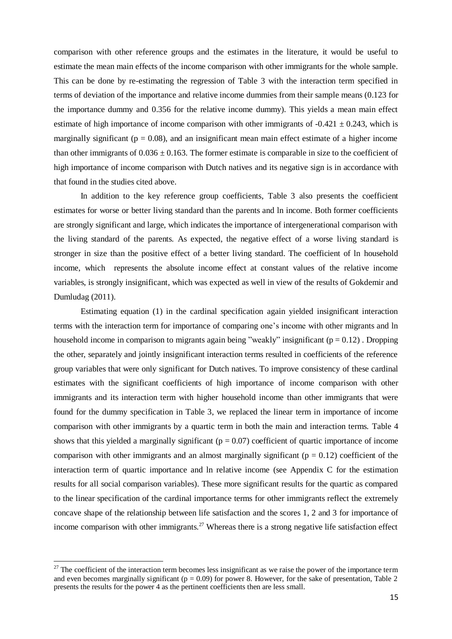comparison with other reference groups and the estimates in the literature, it would be useful to estimate the mean main effects of the income comparison with other immigrants for the whole sample. This can be done by re-estimating the regression of Table 3 with the interaction term specified in terms of deviation of the importance and relative income dummies from their sample means (0.123 for the importance dummy and 0.356 for the relative income dummy). This yields a mean main effect estimate of high importance of income comparison with other immigrants of  $-0.421 \pm 0.243$ , which is marginally significant ( $p = 0.08$ ), and an insignificant mean main effect estimate of a higher income than other immigrants of  $0.036 \pm 0.163$ . The former estimate is comparable in size to the coefficient of high importance of income comparison with Dutch natives and its negative sign is in accordance with that found in the studies cited above.

In addition to the key reference group coefficients, Table 3 also presents the coefficient estimates for worse or better living standard than the parents and ln income. Both former coefficients are strongly significant and large, which indicates the importance of intergenerational comparison with the living standard of the parents. As expected, the negative effect of a worse living standard is stronger in size than the positive effect of a better living standard. The coefficient of ln household income, which represents the absolute income effect at constant values of the relative income variables, is strongly insignificant, which was expected as well in view of the results of Gokdemir and Dumludag (2011).

Estimating equation (1) in the cardinal specification again yielded insignificant interaction terms with the interaction term for importance of comparing one's income with other migrants and ln household income in comparison to migrants again being "weakly" insignificant ( $p = 0.12$ ). Dropping the other, separately and jointly insignificant interaction terms resulted in coefficients of the reference group variables that were only significant for Dutch natives. To improve consistency of these cardinal estimates with the significant coefficients of high importance of income comparison with other immigrants and its interaction term with higher household income than other immigrants that were found for the dummy specification in Table 3, we replaced the linear term in importance of income comparison with other immigrants by a quartic term in both the main and interaction terms. Table 4 shows that this yielded a marginally significant ( $p = 0.07$ ) coefficient of quartic importance of income comparison with other immigrants and an almost marginally significant ( $p = 0.12$ ) coefficient of the interaction term of quartic importance and ln relative income (see Appendix C for the estimation results for all social comparison variables). These more significant results for the quartic as compared to the linear specification of the cardinal importance terms for other immigrants reflect the extremely concave shape of the relationship between life satisfaction and the scores 1, 2 and 3 for importance of income comparison with other immigrants.<sup>27</sup> Whereas there is a strong negative life satisfaction effect

 $\overline{a}$ 

 $27$  The coefficient of the interaction term becomes less insignificant as we raise the power of the importance term and even becomes marginally significant ( $p = 0.09$ ) for power 8. However, for the sake of presentation, Table 2 presents the results for the power 4 as the pertinent coefficients then are less small.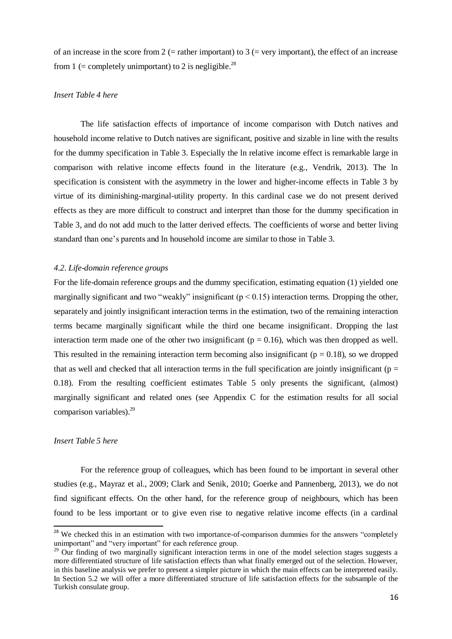of an increase in the score from  $2$  (= rather important) to  $3$  (= very important), the effect of an increase from 1 (= completely unimportant) to 2 is negligible.<sup>28</sup>

### *Insert Table 4 here*

The life satisfaction effects of importance of income comparison with Dutch natives and household income relative to Dutch natives are significant, positive and sizable in line with the results for the dummy specification in Table 3. Especially the ln relative income effect is remarkable large in comparison with relative income effects found in the literature (e.g., Vendrik, 2013). The ln specification is consistent with the asymmetry in the lower and higher-income effects in Table 3 by virtue of its diminishing-marginal-utility property. In this cardinal case we do not present derived effects as they are more difficult to construct and interpret than those for the dummy specification in Table 3, and do not add much to the latter derived effects. The coefficients of worse and better living standard than one's parents and ln household income are similar to those in Table 3.

#### *4.2. Life-domain reference groups*

For the life-domain reference groups and the dummy specification, estimating equation (1) yielded one marginally significant and two "weakly" insignificant ( $p < 0.15$ ) interaction terms. Dropping the other, separately and jointly insignificant interaction terms in the estimation, two of the remaining interaction terms became marginally significant while the third one became insignificant. Dropping the last interaction term made one of the other two insignificant ( $p = 0.16$ ), which was then dropped as well. This resulted in the remaining interaction term becoming also insignificant ( $p = 0.18$ ), so we dropped that as well and checked that all interaction terms in the full specification are jointly insignificant ( $p =$ 0.18). From the resulting coefficient estimates Table 5 only presents the significant, (almost) marginally significant and related ones (see Appendix C for the estimation results for all social comparison variables).<sup>29</sup>

#### *Insert Table 5 here*

 $\overline{1}$ 

For the reference group of colleagues, which has been found to be important in several other studies (e.g., Mayraz et al., 2009; Clark and Senik, 2010; Goerke and Pannenberg, 2013), we do not find significant effects. On the other hand, for the reference group of neighbours, which has been found to be less important or to give even rise to negative relative income effects (in a cardinal

<sup>&</sup>lt;sup>28</sup> We checked this in an estimation with two importance-of-comparison dummies for the answers "completely unimportant" and "very important" for each reference group.

 $29$  Our finding of two marginally significant interaction terms in one of the model selection stages suggests a more differentiated structure of life satisfaction effects than what finally emerged out of the selection. However, in this baseline analysis we prefer to present a simpler picture in which the main effects can be interpreted easily. In Section 5.2 we will offer a more differentiated structure of life satisfaction effects for the subsample of the Turkish consulate group.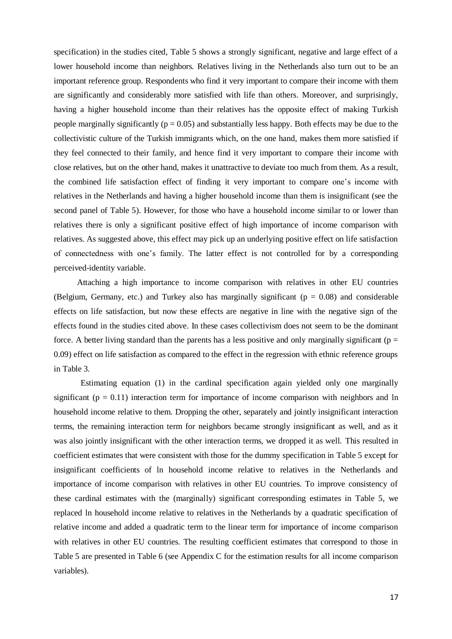specification) in the studies cited, Table 5 shows a strongly significant, negative and large effect of a lower household income than neighbors. Relatives living in the Netherlands also turn out to be an important reference group. Respondents who find it very important to compare their income with them are significantly and considerably more satisfied with life than others. Moreover, and surprisingly, having a higher household income than their relatives has the opposite effect of making Turkish people marginally significantly ( $p = 0.05$ ) and substantially less happy. Both effects may be due to the collectivistic culture of the Turkish immigrants which, on the one hand, makes them more satisfied if they feel connected to their family, and hence find it very important to compare their income with close relatives, but on the other hand, makes it unattractive to deviate too much from them. As a result, the combined life satisfaction effect of finding it very important to compare one's income with relatives in the Netherlands and having a higher household income than them is insignificant (see the second panel of Table 5). However, for those who have a household income similar to or lower than relatives there is only a significant positive effect of high importance of income comparison with relatives. As suggested above, this effect may pick up an underlying positive effect on life satisfaction of connectedness with one's family. The latter effect is not controlled for by a corresponding perceived-identity variable.

 Attaching a high importance to income comparison with relatives in other EU countries (Belgium, Germany, etc.) and Turkey also has marginally significant ( $p = 0.08$ ) and considerable effects on life satisfaction, but now these effects are negative in line with the negative sign of the effects found in the studies cited above. In these cases collectivism does not seem to be the dominant force. A better living standard than the parents has a less positive and only marginally significant ( $p =$ 0.09) effect on life satisfaction as compared to the effect in the regression with ethnic reference groups in Table 3.

Estimating equation (1) in the cardinal specification again yielded only one marginally significant ( $p = 0.11$ ) interaction term for importance of income comparison with neighbors and ln household income relative to them. Dropping the other, separately and jointly insignificant interaction terms, the remaining interaction term for neighbors became strongly insignificant as well, and as it was also jointly insignificant with the other interaction terms, we dropped it as well. This resulted in coefficient estimates that were consistent with those for the dummy specification in Table 5 except for insignificant coefficients of ln household income relative to relatives in the Netherlands and importance of income comparison with relatives in other EU countries. To improve consistency of these cardinal estimates with the (marginally) significant corresponding estimates in Table 5, we replaced ln household income relative to relatives in the Netherlands by a quadratic specification of relative income and added a quadratic term to the linear term for importance of income comparison with relatives in other EU countries. The resulting coefficient estimates that correspond to those in Table 5 are presented in Table 6 (see Appendix C for the estimation results for all income comparison variables).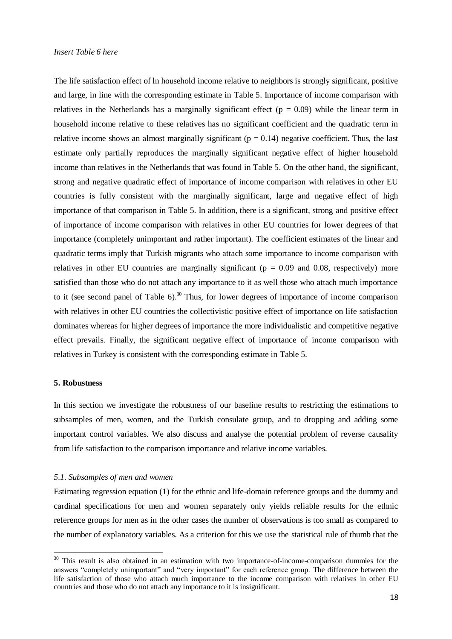The life satisfaction effect of ln household income relative to neighbors is strongly significant, positive and large, in line with the corresponding estimate in Table 5. Importance of income comparison with relatives in the Netherlands has a marginally significant effect  $(p = 0.09)$  while the linear term in household income relative to these relatives has no significant coefficient and the quadratic term in relative income shows an almost marginally significant ( $p = 0.14$ ) negative coefficient. Thus, the last estimate only partially reproduces the marginally significant negative effect of higher household income than relatives in the Netherlands that was found in Table 5. On the other hand, the significant, strong and negative quadratic effect of importance of income comparison with relatives in other EU countries is fully consistent with the marginally significant, large and negative effect of high importance of that comparison in Table 5. In addition, there is a significant, strong and positive effect of importance of income comparison with relatives in other EU countries for lower degrees of that importance (completely unimportant and rather important). The coefficient estimates of the linear and quadratic terms imply that Turkish migrants who attach some importance to income comparison with relatives in other EU countries are marginally significant ( $p = 0.09$  and 0.08, respectively) more satisfied than those who do not attach any importance to it as well those who attach much importance to it (see second panel of Table 6).<sup>30</sup> Thus, for lower degrees of importance of income comparison with relatives in other EU countries the collectivistic positive effect of importance on life satisfaction dominates whereas for higher degrees of importance the more individualistic and competitive negative effect prevails. Finally, the significant negative effect of importance of income comparison with relatives in Turkey is consistent with the corresponding estimate in Table 5.

#### **5. Robustness**

 $\overline{a}$ 

In this section we investigate the robustness of our baseline results to restricting the estimations to subsamples of men, women, and the Turkish consulate group, and to dropping and adding some important control variables. We also discuss and analyse the potential problem of reverse causality from life satisfaction to the comparison importance and relative income variables.

#### *5.1. Subsamples of men and women*

Estimating regression equation (1) for the ethnic and life-domain reference groups and the dummy and cardinal specifications for men and women separately only yields reliable results for the ethnic reference groups for men as in the other cases the number of observations is too small as compared to the number of explanatory variables. As a criterion for this we use the statistical rule of thumb that the

 $30$  This result is also obtained in an estimation with two importance-of-income-comparison dummies for the answers "completely unimportant" and "very important" for each reference group. The difference between the life satisfaction of those who attach much importance to the income comparison with relatives in other EU countries and those who do not attach any importance to it is insignificant.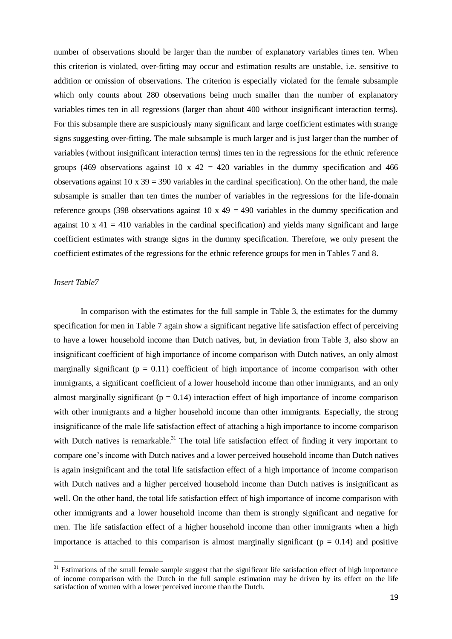number of observations should be larger than the number of explanatory variables times ten. When this criterion is violated, over-fitting may occur and estimation results are unstable, i.e. sensitive to addition or omission of observations. The criterion is especially violated for the female subsample which only counts about 280 observations being much smaller than the number of explanatory variables times ten in all regressions (larger than about 400 without insignificant interaction terms). For this subsample there are suspiciously many significant and large coefficient estimates with strange signs suggesting over-fitting. The male subsample is much larger and is just larger than the number of variables (without insignificant interaction terms) times ten in the regressions for the ethnic reference groups (469 observations against 10 x 42 = 420 variables in the dummy specification and 466 observations against  $10 \times 39 = 390$  variables in the cardinal specification). On the other hand, the male subsample is smaller than ten times the number of variables in the regressions for the life-domain reference groups (398 observations against 10 x  $49 = 490$  variables in the dummy specification and against  $10 \times 41 = 410$  variables in the cardinal specification) and yields many significant and large coefficient estimates with strange signs in the dummy specification. Therefore, we only present the coefficient estimates of the regressions for the ethnic reference groups for men in Tables 7 and 8.

# *Insert Table7*

 $\overline{a}$ 

In comparison with the estimates for the full sample in Table 3, the estimates for the dummy specification for men in Table 7 again show a significant negative life satisfaction effect of perceiving to have a lower household income than Dutch natives, but, in deviation from Table 3, also show an insignificant coefficient of high importance of income comparison with Dutch natives, an only almost marginally significant ( $p = 0.11$ ) coefficient of high importance of income comparison with other immigrants, a significant coefficient of a lower household income than other immigrants, and an only almost marginally significant ( $p = 0.14$ ) interaction effect of high importance of income comparison with other immigrants and a higher household income than other immigrants. Especially, the strong insignificance of the male life satisfaction effect of attaching a high importance to income comparison with Dutch natives is remarkable.<sup>31</sup> The total life satisfaction effect of finding it very important to compare one's income with Dutch natives and a lower perceived household income than Dutch natives is again insignificant and the total life satisfaction effect of a high importance of income comparison with Dutch natives and a higher perceived household income than Dutch natives is insignificant as well. On the other hand, the total life satisfaction effect of high importance of income comparison with other immigrants and a lower household income than them is strongly significant and negative for men. The life satisfaction effect of a higher household income than other immigrants when a high importance is attached to this comparison is almost marginally significant ( $p = 0.14$ ) and positive

 $31$  Estimations of the small female sample suggest that the significant life satisfaction effect of high importance of income comparison with the Dutch in the full sample estimation may be driven by its effect on the life satisfaction of women with a lower perceived income than the Dutch.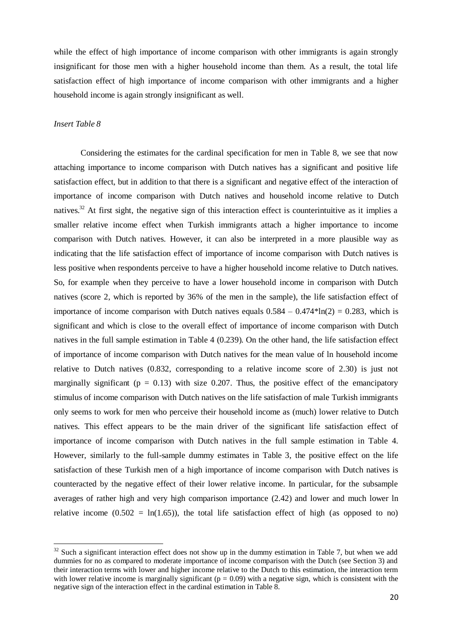while the effect of high importance of income comparison with other immigrants is again strongly insignificant for those men with a higher household income than them. As a result, the total life satisfaction effect of high importance of income comparison with other immigrants and a higher household income is again strongly insignificant as well.

## *Insert Table 8*

 $\overline{a}$ 

Considering the estimates for the cardinal specification for men in Table 8, we see that now attaching importance to income comparison with Dutch natives has a significant and positive life satisfaction effect, but in addition to that there is a significant and negative effect of the interaction of importance of income comparison with Dutch natives and household income relative to Dutch natives.<sup>32</sup> At first sight, the negative sign of this interaction effect is counterintuitive as it implies a smaller relative income effect when Turkish immigrants attach a higher importance to income comparison with Dutch natives. However, it can also be interpreted in a more plausible way as indicating that the life satisfaction effect of importance of income comparison with Dutch natives is less positive when respondents perceive to have a higher household income relative to Dutch natives. So, for example when they perceive to have a lower household income in comparison with Dutch natives (score 2, which is reported by 36% of the men in the sample), the life satisfaction effect of importance of income comparison with Dutch natives equals  $0.584 - 0.474*ln(2) = 0.283$ , which is significant and which is close to the overall effect of importance of income comparison with Dutch natives in the full sample estimation in Table 4 (0.239). On the other hand, the life satisfaction effect of importance of income comparison with Dutch natives for the mean value of ln household income relative to Dutch natives (0.832, corresponding to a relative income score of 2.30) is just not marginally significant ( $p = 0.13$ ) with size 0.207. Thus, the positive effect of the emancipatory stimulus of income comparison with Dutch natives on the life satisfaction of male Turkish immigrants only seems to work for men who perceive their household income as (much) lower relative to Dutch natives. This effect appears to be the main driver of the significant life satisfaction effect of importance of income comparison with Dutch natives in the full sample estimation in Table 4. However, similarly to the full-sample dummy estimates in Table 3, the positive effect on the life satisfaction of these Turkish men of a high importance of income comparison with Dutch natives is counteracted by the negative effect of their lower relative income. In particular, for the subsample averages of rather high and very high comparison importance (2.42) and lower and much lower ln relative income (0.502 =  $ln(1.65)$ ), the total life satisfaction effect of high (as opposed to no)

 $32$  Such a significant interaction effect does not show up in the dummy estimation in Table 7, but when we add dummies for no as compared to moderate importance of income comparison with the Dutch (see Section 3) and their interaction terms with lower and higher income relative to the Dutch to this estimation, the interaction term with lower relative income is marginally significant ( $p = 0.09$ ) with a negative sign, which is consistent with the negative sign of the interaction effect in the cardinal estimation in Table 8.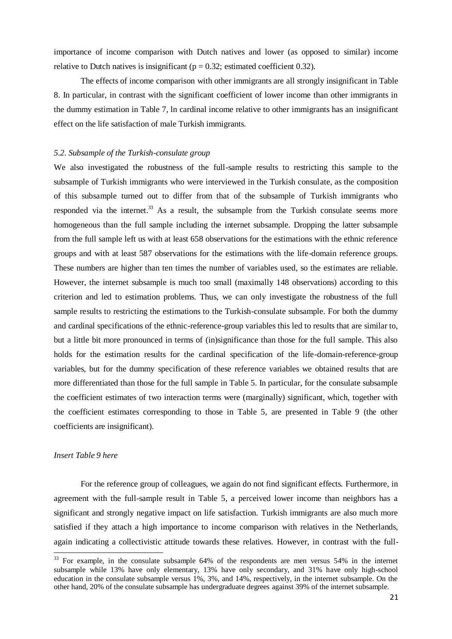importance of income comparison with Dutch natives and lower (as opposed to similar) income relative to Dutch natives is insignificant ( $p = 0.32$ ; estimated coefficient 0.32).

 The effects of income comparison with other immigrants are all strongly insignificant in Table 8. In particular, in contrast with the significant coefficient of lower income than other immigrants in the dummy estimation in Table 7, ln cardinal income relative to other immigrants has an insignificant effect on the life satisfaction of male Turkish immigrants.

#### *5.2. Subsample of the Turkish-consulate group*

We also investigated the robustness of the full-sample results to restricting this sample to the subsample of Turkish immigrants who were interviewed in the Turkish consulate, as the composition of this subsample turned out to differ from that of the subsample of Turkish immigrants who responded via the internet.<sup>33</sup> As a result, the subsample from the Turkish consulate seems more homogeneous than the full sample including the internet subsample. Dropping the latter subsample from the full sample left us with at least 658 observations for the estimations with the ethnic reference groups and with at least 587 observations for the estimations with the life-domain reference groups. These numbers are higher than ten times the number of variables used, so the estimates are reliable. However, the internet subsample is much too small (maximally 148 observations) according to this criterion and led to estimation problems. Thus, we can only investigate the robustness of the full sample results to restricting the estimations to the Turkish-consulate subsample. For both the dummy and cardinal specifications of the ethnic-reference-group variables this led to results that are similar to, but a little bit more pronounced in terms of (in)significance than those for the full sample. This also holds for the estimation results for the cardinal specification of the life-domain-reference-group variables, but for the dummy specification of these reference variables we obtained results that are more differentiated than those for the full sample in Table 5. In particular, for the consulate subsample the coefficient estimates of two interaction terms were (marginally) significant, which, together with the coefficient estimates corresponding to those in Table 5, are presented in Table 9 (the other coefficients are insignificant).

# *Insert Table 9 here*

 $\overline{a}$ 

For the reference group of colleagues, we again do not find significant effects. Furthermore, in agreement with the full-sample result in Table 5, a perceived lower income than neighbors has a significant and strongly negative impact on life satisfaction. Turkish immigrants are also much more satisfied if they attach a high importance to income comparison with relatives in the Netherlands, again indicating a collectivistic attitude towards these relatives. However, in contrast with the full-

<sup>&</sup>lt;sup>33</sup> For example, in the consulate subsample 64% of the respondents are men versus 54% in the internet subsample while 13% have only elementary, 13% have only secondary, and 31% have only high-school education in the consulate subsample versus 1%, 3%, and 14%, respectively, in the internet subsample. On the other hand, 20% of the consulate subsample has undergraduate degrees against 39% of the internet subsample.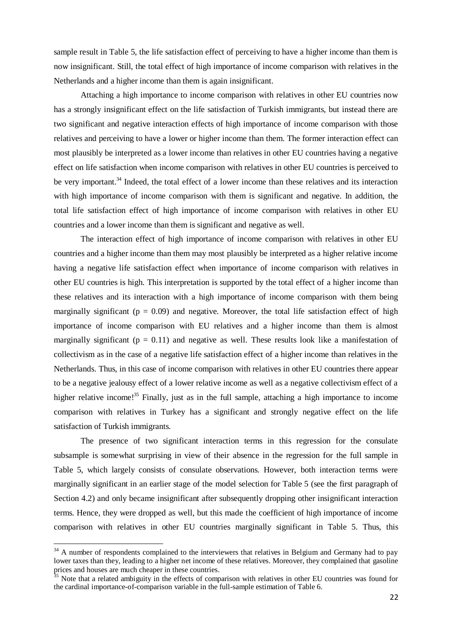sample result in Table 5, the life satisfaction effect of perceiving to have a higher income than them is now insignificant. Still, the total effect of high importance of income comparison with relatives in the Netherlands and a higher income than them is again insignificant.

Attaching a high importance to income comparison with relatives in other EU countries now has a strongly insignificant effect on the life satisfaction of Turkish immigrants, but instead there are two significant and negative interaction effects of high importance of income comparison with those relatives and perceiving to have a lower or higher income than them. The former interaction effect can most plausibly be interpreted as a lower income than relatives in other EU countries having a negative effect on life satisfaction when income comparison with relatives in other EU countries is perceived to be very important.<sup>34</sup> Indeed, the total effect of a lower income than these relatives and its interaction with high importance of income comparison with them is significant and negative. In addition, the total life satisfaction effect of high importance of income comparison with relatives in other EU countries and a lower income than them is significant and negative as well.

The interaction effect of high importance of income comparison with relatives in other EU countries and a higher income than them may most plausibly be interpreted as a higher relative income having a negative life satisfaction effect when importance of income comparison with relatives in other EU countries is high. This interpretation is supported by the total effect of a higher income than these relatives and its interaction with a high importance of income comparison with them being marginally significant ( $p = 0.09$ ) and negative. Moreover, the total life satisfaction effect of high importance of income comparison with EU relatives and a higher income than them is almost marginally significant ( $p = 0.11$ ) and negative as well. These results look like a manifestation of collectivism as in the case of a negative life satisfaction effect of a higher income than relatives in the Netherlands. Thus, in this case of income comparison with relatives in other EU countries there appear to be a negative jealousy effect of a lower relative income as well as a negative collectivism effect of a higher relative income!<sup>35</sup> Finally, just as in the full sample, attaching a high importance to income comparison with relatives in Turkey has a significant and strongly negative effect on the life satisfaction of Turkish immigrants.

The presence of two significant interaction terms in this regression for the consulate subsample is somewhat surprising in view of their absence in the regression for the full sample in Table 5, which largely consists of consulate observations. However, both interaction terms were marginally significant in an earlier stage of the model selection for Table 5 (see the first paragraph of Section 4.2) and only became insignificant after subsequently dropping other insignificant interaction terms. Hence, they were dropped as well, but this made the coefficient of high importance of income comparison with relatives in other EU countries marginally significant in Table 5. Thus, this

 $\overline{a}$ 

 $34$  A number of respondents complained to the interviewers that relatives in Belgium and Germany had to pay lower taxes than they, leading to a higher net income of these relatives. Moreover, they complained that gasoline prices and houses are much cheaper in these countries.

 $35$  Note that a related ambiguity in the effects of comparison with relatives in other EU countries was found for the cardinal importance-of-comparison variable in the full-sample estimation of Table 6.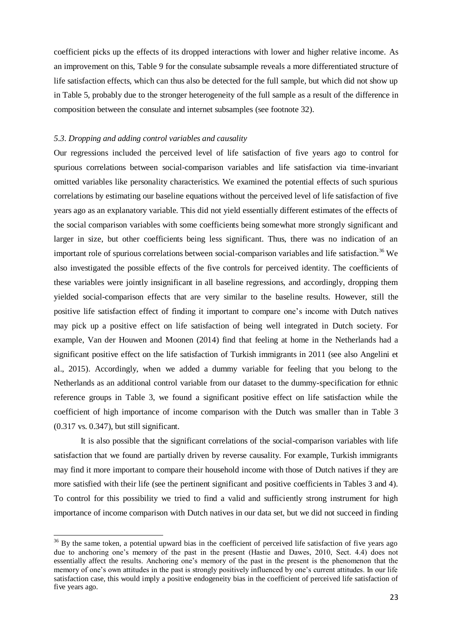coefficient picks up the effects of its dropped interactions with lower and higher relative income. As an improvement on this, Table 9 for the consulate subsample reveals a more differentiated structure of life satisfaction effects, which can thus also be detected for the full sample, but which did not show up in Table 5, probably due to the stronger heterogeneity of the full sample as a result of the difference in composition between the consulate and internet subsamples (see footnote 32).

#### *5.3. Dropping and adding control variables and causality*

 $\overline{a}$ 

Our regressions included the perceived level of life satisfaction of five years ago to control for spurious correlations between social-comparison variables and life satisfaction via time-invariant omitted variables like personality characteristics. We examined the potential effects of such spurious correlations by estimating our baseline equations without the perceived level of life satisfaction of five years ago as an explanatory variable. This did not yield essentially different estimates of the effects of the social comparison variables with some coefficients being somewhat more strongly significant and larger in size, but other coefficients being less significant. Thus, there was no indication of an important role of spurious correlations between social-comparison variables and life satisfaction.<sup>36</sup> We also investigated the possible effects of the five controls for perceived identity. The coefficients of these variables were jointly insignificant in all baseline regressions, and accordingly, dropping them yielded social-comparison effects that are very similar to the baseline results. However, still the positive life satisfaction effect of finding it important to compare one's income with Dutch natives may pick up a positive effect on life satisfaction of being well integrated in Dutch society. For example, Van der Houwen and Moonen (2014) find that feeling at home in the Netherlands had a significant positive effect on the life satisfaction of Turkish immigrants in 2011 (see also Angelini et al., 2015). Accordingly, when we added a dummy variable for feeling that you belong to the Netherlands as an additional control variable from our dataset to the dummy-specification for ethnic reference groups in Table 3, we found a significant positive effect on life satisfaction while the coefficient of high importance of income comparison with the Dutch was smaller than in Table 3 (0.317 vs. 0.347), but still significant.

It is also possible that the significant correlations of the social-comparison variables with life satisfaction that we found are partially driven by reverse causality. For example, Turkish immigrants may find it more important to compare their household income with those of Dutch natives if they are more satisfied with their life (see the pertinent significant and positive coefficients in Tables 3 and 4). To control for this possibility we tried to find a valid and sufficiently strong instrument for high importance of income comparison with Dutch natives in our data set, but we did not succeed in finding

 $36$  By the same token, a potential upward bias in the coefficient of perceived life satisfaction of five years ago due to anchoring one's memory of the past in the present (Hastie and Dawes, 2010, Sect. 4.4) does not essentially affect the results. Anchoring one's memory of the past in the present is the phenomenon that the memory of one's own attitudes in the past is strongly positively influenced by one's current attitudes. In our life satisfaction case, this would imply a positive endogeneity bias in the coefficient of perceived life satisfaction of five years ago.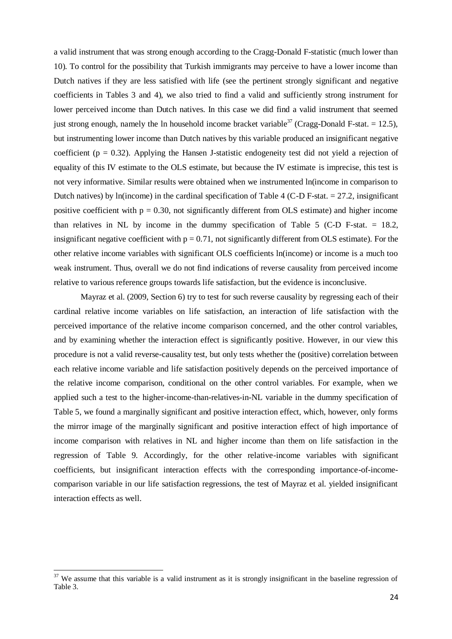a valid instrument that was strong enough according to the Cragg-Donald F-statistic (much lower than 10). To control for the possibility that Turkish immigrants may perceive to have a lower income than Dutch natives if they are less satisfied with life (see the pertinent strongly significant and negative coefficients in Tables 3 and 4), we also tried to find a valid and sufficiently strong instrument for lower perceived income than Dutch natives. In this case we did find a valid instrument that seemed just strong enough, namely the ln household income bracket variable<sup>37</sup> (Cragg-Donald F-stat. = 12.5), but instrumenting lower income than Dutch natives by this variable produced an insignificant negative coefficient ( $p = 0.32$ ). Applying the Hansen J-statistic endogeneity test did not yield a rejection of equality of this IV estimate to the OLS estimate, but because the IV estimate is imprecise, this test is not very informative. Similar results were obtained when we instrumented ln(income in comparison to Dutch natives) by ln(income) in the cardinal specification of Table 4 (C-D F-stat.  $= 27.2$ , insignificant positive coefficient with  $p = 0.30$ , not significantly different from OLS estimate) and higher income than relatives in NL by income in the dummy specification of Table 5 (C-D F-stat.  $= 18.2$ , insignificant negative coefficient with  $p = 0.71$ , not significantly different from OLS estimate). For the other relative income variables with significant OLS coefficients ln(income) or income is a much too weak instrument. Thus, overall we do not find indications of reverse causality from perceived income relative to various reference groups towards life satisfaction, but the evidence is inconclusive.

Mayraz et al. (2009, Section 6) try to test for such reverse causality by regressing each of their cardinal relative income variables on life satisfaction, an interaction of life satisfaction with the perceived importance of the relative income comparison concerned, and the other control variables, and by examining whether the interaction effect is significantly positive. However, in our view this procedure is not a valid reverse-causality test, but only tests whether the (positive) correlation between each relative income variable and life satisfaction positively depends on the perceived importance of the relative income comparison, conditional on the other control variables. For example, when we applied such a test to the higher-income-than-relatives-in-NL variable in the dummy specification of Table 5, we found a marginally significant and positive interaction effect, which, however, only forms the mirror image of the marginally significant and positive interaction effect of high importance of income comparison with relatives in NL and higher income than them on life satisfaction in the regression of Table 9. Accordingly, for the other relative-income variables with significant coefficients, but insignificant interaction effects with the corresponding importance-of-incomecomparison variable in our life satisfaction regressions, the test of Mayraz et al. yielded insignificant interaction effects as well.

 $\overline{a}$ 

 $37$  We assume that this variable is a valid instrument as it is strongly insignificant in the baseline regression of Table 3.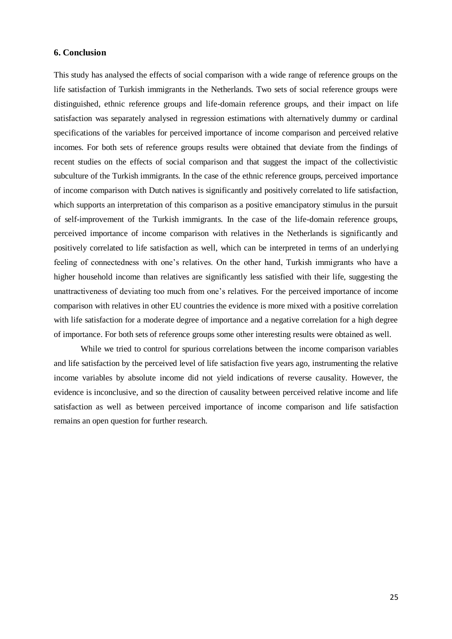#### **6. Conclusion**

This study has analysed the effects of social comparison with a wide range of reference groups on the life satisfaction of Turkish immigrants in the Netherlands. Two sets of social reference groups were distinguished, ethnic reference groups and life-domain reference groups, and their impact on life satisfaction was separately analysed in regression estimations with alternatively dummy or cardinal specifications of the variables for perceived importance of income comparison and perceived relative incomes. For both sets of reference groups results were obtained that deviate from the findings of recent studies on the effects of social comparison and that suggest the impact of the collectivistic subculture of the Turkish immigrants. In the case of the ethnic reference groups, perceived importance of income comparison with Dutch natives is significantly and positively correlated to life satisfaction, which supports an interpretation of this comparison as a positive emancipatory stimulus in the pursuit of self-improvement of the Turkish immigrants. In the case of the life-domain reference groups, perceived importance of income comparison with relatives in the Netherlands is significantly and positively correlated to life satisfaction as well, which can be interpreted in terms of an underlying feeling of connectedness with one's relatives. On the other hand, Turkish immigrants who have a higher household income than relatives are significantly less satisfied with their life, suggesting the unattractiveness of deviating too much from one's relatives. For the perceived importance of income comparison with relatives in other EU countries the evidence is more mixed with a positive correlation with life satisfaction for a moderate degree of importance and a negative correlation for a high degree of importance. For both sets of reference groups some other interesting results were obtained as well.

While we tried to control for spurious correlations between the income comparison variables and life satisfaction by the perceived level of life satisfaction five years ago, instrumenting the relative income variables by absolute income did not yield indications of reverse causality. However, the evidence is inconclusive, and so the direction of causality between perceived relative income and life satisfaction as well as between perceived importance of income comparison and life satisfaction remains an open question for further research.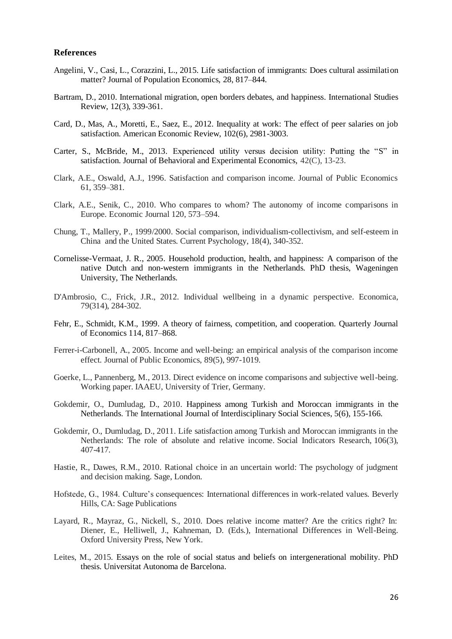#### **References**

- Angelini, V., Casi, L., Corazzini, L., 2015. Life satisfaction of immigrants: Does cultural assimilation matter? Journal of Population Economics, 28, 817–844.
- Bartram, D., 2010. International migration, open borders debates, and happiness. International Studies Review, 12(3), 339-361.
- Card, D., Mas, A., Moretti, E., Saez, E., 2012. Inequality at work: The effect of peer salaries on job satisfaction. American Economic Review, 102(6), 2981-3003.
- Carter, S., McBride, M., 2013. Experienced utility versus decision utility: Putting the "S" in satisfaction. [Journal of Behavioral and Experimental Economics,](http://ideas.repec.org/s/eee/soceco.html) 42(C), 13-23.
- Clark, A.E., Oswald, A.J., 1996. Satisfaction and comparison income. Journal of Public Economics 61, 359–381.
- Clark, A.E., Senik, C., 2010. Who compares to whom? The autonomy of income comparisons in Europe. Economic Journal 120, 573–594.
- Chung, T., Mallery, P., 1999/2000. Social comparison, individualism-collectivism, and self-esteem in China and the United States. Current Psychology, 18(4), 340-352.
- Cornelisse-Vermaat, J. R., 2005. Household production, health, and happiness: A comparison of the native Dutch and non-western immigrants in the Netherlands. PhD thesis, Wageningen University, The Netherlands.
- D'Ambrosio, C., Frick, J.R., 2012. Individual wellbeing in a dynamic perspective. Economica, 79(314), 284-302.
- Fehr, E., Schmidt, K.M., 1999. A theory of fairness, competition, and cooperation. Quarterly Journal of Economics 114, 817–868.
- Ferrer-i-Carbonell, A., 2005. Income and well-being: an empirical analysis of the comparison income effect. Journal of Public Economics, 89(5), 997-1019.
- Goerke, L., Pannenberg, M., 2013. Direct evidence on income comparisons and subjective well-being. Working paper. IAAEU, University of Trier, Germany.
- Gokdemir, O., Dumludag, D., 2010. Happiness among Turkish and Moroccan immigrants in the Netherlands. The International Journal of Interdisciplinary Social Sciences, 5(6), 155-166.
- Gokdemir, O., Dumludag, D., 2011. Life satisfaction among Turkish and Moroccan immigrants in the Netherlands: The role of absolute and relative income. Social Indicators Research, 106(3), 407-417.
- Hastie, R., Dawes, R.M., 2010. Rational choice in an uncertain world: The psychology of judgment and decision making. Sage, London.
- Hofstede, G., 1984. Culture's consequences: International differences in work-related values. Beverly Hills, CA: Sage Publications
- Layard, R., Mayraz, G., Nickell, S., 2010. Does relative income matter? Are the critics right? In: Diener, E., Helliwell, J., Kahneman, D. (Eds.), International Differences in Well-Being. Oxford University Press, New York.
- Leites, M., 2015. Essays on the role of social status and beliefs on intergenerational mobility. PhD thesis. Universitat Autonoma de Barcelona.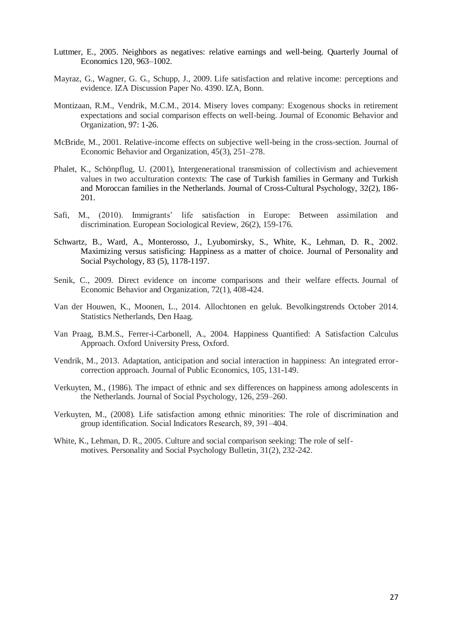- Luttmer, E., 2005. Neighbors as negatives: relative earnings and well-being. Quarterly Journal of Economics 120, 963–1002.
- Mayraz, G., Wagner, G. G., Schupp, J., 2009. Life satisfaction and relative income: perceptions and evidence. IZA Discussion Paper No. 4390. IZA, Bonn.
- Montizaan, R.M., Vendrik, M.C.M., 2014. Misery loves company: Exogenous shocks in retirement expectations and social comparison effects on well-being. Journal of Economic Behavior and Organization, 97: 1-26.
- McBride, M., 2001. Relative-income effects on subjective well-being in the cross-section. Journal of Economic Behavior and Organization, 45(3), 251–278.
- Phalet, K., Schönpflug, U. (2001), Intergenerational transmission of collectivism and achievement values in two acculturation contexts: The case of Turkish families in Germany and Turkish and Moroccan families in the Netherlands. Journal of Cross-Cultural Psychology, 32(2), 186- 201.
- Safi, M., (2010). Immigrants' life satisfaction in Europe: Between assimilation and discrimination. European Sociological Review, 26(2), 159-176.
- Schwartz, B., Ward, A., Monterosso, J., Lyubomirsky, S., White, K., Lehman, D. R., 2002. Maximizing versus satisficing: Happiness as a matter of choice. Journal of Personality and Social Psychology, 83 (5), 1178-1197.
- Senik, C., 2009. Direct evidence on income comparisons and their welfare effects. Journal of Economic Behavior and Organization, 72(1), 408-424.
- Van der Houwen, K., Moonen, L., 2014. Allochtonen en geluk. Bevolkingstrends October 2014. Statistics Netherlands, Den Haag.
- Van Praag, B.M.S., Ferrer-i-Carbonell, A., 2004. Happiness Quantified: A Satisfaction Calculus Approach. Oxford University Press, Oxford.
- Vendrik, M., 2013. Adaptation, anticipation and social interaction in happiness: An integrated errorcorrection approach. Journal of Public Economics, 105, 131-149.
- Verkuyten, M., (1986). The impact of ethnic and sex differences on happiness among adolescents in the Netherlands. Journal of Social Psychology, 126, 259–260.
- Verkuyten, M., (2008). Life satisfaction among ethnic minorities: The role of discrimination and group identification. Social Indicators Research, 89, 391–404.
- White, K., Lehman, D. R., 2005. Culture and social comparison seeking: The role of selfmotives. Personality and Social Psychology Bulletin, 31(2), 232-242.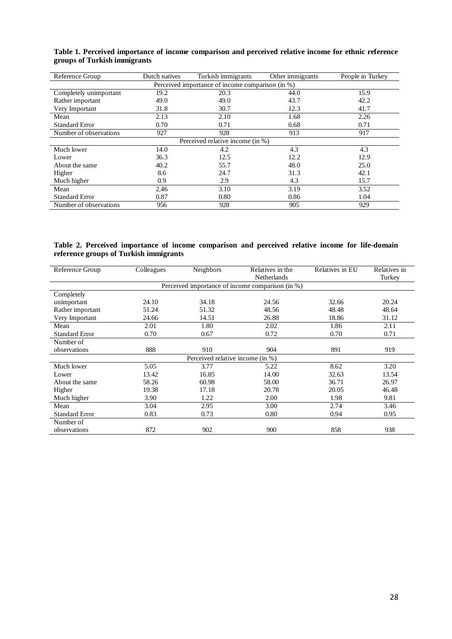| Reference Group                                                        | Dutch natives | Turkish immigrants               | Other immigrants | People in Turkey |  |  |
|------------------------------------------------------------------------|---------------|----------------------------------|------------------|------------------|--|--|
| Perceived importance of income comparison $\overline{(\text{in } 96)}$ |               |                                  |                  |                  |  |  |
| Completely unimportant                                                 | 19.2          | 20.3                             | 44.0             | 15.9             |  |  |
| Rather important                                                       | 49.0          | 49.0                             | 43.7             | 42.2             |  |  |
| Very Important                                                         | 31.8          | 30.7                             | 12.3             | 41.7             |  |  |
| Mean                                                                   | 2.13          | 2.10                             | 1.68             | 2.26             |  |  |
| <b>Standard Error</b>                                                  | 0.70          | 0.71                             | 0.68             | 0.71             |  |  |
| Number of observations                                                 | 927           | 928                              | 913              | 917              |  |  |
|                                                                        |               | Perceived relative income (in %) |                  |                  |  |  |
| Much lower                                                             | 14.0          | 4.2                              | 4.3              | 4.3              |  |  |
| Lower                                                                  | 36.3          | 12.5                             | 12.2             | 12.9             |  |  |
| About the same                                                         | 40.2          | 55.7                             | 48.0             | 25.0             |  |  |
| Higher                                                                 | 8.6           | 24.7                             | 31.3             | 42.1             |  |  |
| Much higher                                                            | 0.9           | 2.9                              | 4.3              | 15.7             |  |  |
| Mean                                                                   | 2.46          | 3.10                             | 3.19             | 3.52             |  |  |
| <b>Standard Error</b>                                                  | 0.87          | 0.80                             | 0.86             | 1.04             |  |  |
| Number of observations                                                 | 956           | 928                              | 905              | 929              |  |  |

**Table 1. Perceived importance of income comparison and perceived relative income for ethnic reference groups of Turkish immigrants**

#### **Table 2. Perceived importance of income comparison and perceived relative income for life-domain reference groups of Turkish immigrants**

| Reference Group       | Colleagues | Neighbors                        | Relatives in the<br><b>Netherlands</b>           | Relatives in EU | Relatives in<br>Turkey |
|-----------------------|------------|----------------------------------|--------------------------------------------------|-----------------|------------------------|
|                       |            |                                  | Perceived importance of income comparison (in %) |                 |                        |
| Completely            |            |                                  |                                                  |                 |                        |
| unimportant           | 24.10      | 34.18                            | 24.56                                            | 32.66           | 20.24                  |
| Rather important      | 51.24      | 51.32                            | 48.56                                            | 48.48           | 48.64                  |
| Very Important        | 24.66      | 14.51                            | 26.88                                            | 18.86           | 31.12                  |
| Mean                  | 2.01       | 1.80                             | 2.02                                             | 1.86            | 2.11                   |
| Standard Error        | 0.70       | 0.67                             | 0.72                                             | 0.70            | 0.71                   |
| Number of             |            |                                  |                                                  |                 |                        |
| observations          | 888        | 910                              | 904                                              | 891             | 919                    |
|                       |            | Perceived relative income (in %) |                                                  |                 |                        |
| Much lower            | 5.05       | 3.77                             | 5.22                                             | 8.62            | 3.20                   |
| Lower                 | 13.42      | 16.85                            | 14.00                                            | 32.63           | 13.54                  |
| About the same        | 58.26      | 60.98                            | 58.00                                            | 36.71           | 26.97                  |
| Higher                | 19.38      | 17.18                            | 20.78                                            | 20.05           | 46.48                  |
| Much higher           | 3.90       | 1.22                             | 2.00                                             | 1.98            | 9.81                   |
| Mean                  | 3.04       | 2.95                             | 3.00                                             | 2.74            | 3.46                   |
| <b>Standard Error</b> | 0.83       | 0.73                             | 0.80                                             | 0.94            | 0.95                   |
| Number of             |            |                                  |                                                  |                 |                        |
| observations          | 872        | 902                              | 900                                              | 858             | 938                    |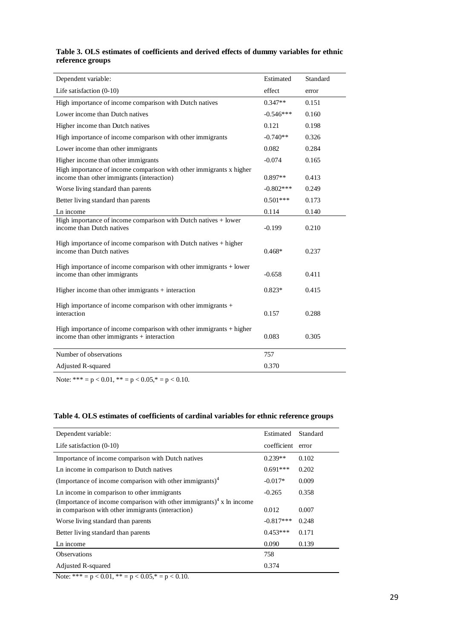### **Table 3. OLS estimates of coefficients and derived effects of dummy variables for ethnic reference groups**

| Dependent variable:                                                                                                   | Estimated   | Standard |
|-----------------------------------------------------------------------------------------------------------------------|-------------|----------|
| Life satisfaction $(0-10)$                                                                                            | effect      | error    |
| High importance of income comparison with Dutch natives                                                               | $0.347**$   | 0.151    |
| Lower income than Dutch natives                                                                                       | $-0.546***$ | 0.160    |
| Higher income than Dutch natives                                                                                      | 0.121       | 0.198    |
| High importance of income comparison with other immigrants                                                            | $-0.740**$  | 0.326    |
| Lower income than other immigrants                                                                                    | 0.082       | 0.284    |
| Higher income than other immigrants<br>High importance of income comparison with other immigrants x higher            | $-0.074$    | 0.165    |
| income than other immigrants (interaction)                                                                            | $0.897**$   | 0.413    |
| Worse living standard than parents                                                                                    | $-0.802***$ | 0.249    |
| Better living standard than parents                                                                                   | $0.501***$  | 0.173    |
| Ln income                                                                                                             | 0.114       | 0.140    |
| High importance of income comparison with Dutch natives $+$ lower<br>income than Dutch natives                        | $-0.199$    | 0.210    |
| High importance of income comparison with Dutch natives + higher<br>income than Dutch natives                         | $0.468*$    | 0.237    |
| High importance of income comparison with other immigrants + lower<br>income than other immigrants                    | $-0.658$    | 0.411    |
| Higher income than other immigrants $+$ interaction                                                                   | $0.823*$    | 0.415    |
| High importance of income comparison with other immigrants +<br>interaction                                           | 0.157       | 0.288    |
| High importance of income comparison with other immigrants $+$ higher<br>income than other immigrants $+$ interaction | 0.083       | 0.305    |
| Number of observations                                                                                                | 757         |          |
| Adjusted R-squared                                                                                                    | 0.370       |          |

Note: \*\*\* =  $p < 0.01$ , \*\* =  $p < 0.05$ ,\* =  $p < 0.10$ .

### **Table 4. OLS estimates of coefficients of cardinal variables for ethnic reference groups**

| Dependent variable:                                                                                                                   | Estimated         | Standard |
|---------------------------------------------------------------------------------------------------------------------------------------|-------------------|----------|
| Life satisfaction $(0-10)$                                                                                                            | coefficient error |          |
| Importance of income comparison with Dutch natives                                                                                    | $0.239**$         | 0.102    |
| Ln income in comparison to Dutch natives                                                                                              | $0.691***$        | 0.202    |
| (Importance of income comparison with other immigrants) $4$                                                                           | $-0.017*$         | 0.009    |
| Ln income in comparison to other immigrants                                                                                           | $-0.265$          | 0.358    |
| (Importance of income comparison with other immigrants) <sup>4</sup> x ln income<br>in comparison with other immigrants (interaction) | 0.012             | 0.007    |
| Worse living standard than parents                                                                                                    | $-0.817***$       | 0.248    |
| Better living standard than parents                                                                                                   | $0.453***$        | 0.171    |
| Ln income                                                                                                                             | 0.090             | 0.139    |
| <b>Observations</b>                                                                                                                   | 758               |          |
| Adjusted R-squared                                                                                                                    | 0.374             |          |
| <b>AT Judent</b><br>$\bigcap_{i=1}^n A_i + A_i$<br>0.05L<br>$\sim$ 10                                                                 |                   |          |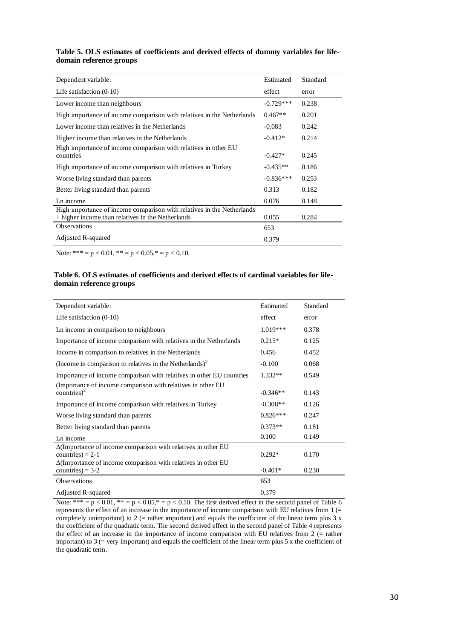#### **Table 5. OLS estimates of coefficients and derived effects of dummy variables for lifedomain reference groups**

| Dependent variable:                                                                                                         | Estimated   | Standard |
|-----------------------------------------------------------------------------------------------------------------------------|-------------|----------|
| Life satisfaction $(0-10)$                                                                                                  | effect      | error    |
| Lower income than neighbours                                                                                                | $-0.729***$ | 0.238    |
| High importance of income comparison with relatives in the Netherlands                                                      | $0.467**$   | 0.201    |
| Lower income than relatives in the Netherlands                                                                              | $-0.083$    | 0.242    |
| Higher income than relatives in the Netherlands                                                                             | $-0.412*$   | 0.214    |
| High importance of income comparison with relatives in other EU<br>countries                                                | $-0.427*$   | 0.245    |
| High importance of income comparison with relatives in Turkey                                                               | $-0.435**$  | 0.186    |
| Worse living standard than parents                                                                                          | $-0.836***$ | 0.253    |
| Better living standard than parents                                                                                         | 0.313       | 0.182    |
| Ln income                                                                                                                   | 0.076       | 0.148    |
| High importance of income comparison with relatives in the Netherlands<br>+ higher income than relatives in the Netherlands | 0.055       | 0.284    |
| <b>Observations</b>                                                                                                         | 653         |          |
| Adjusted R-squared                                                                                                          | 0.379       |          |

Note: \*\*\* =  $p < 0.01$ , \*\* =  $p < 0.05$ ,\* =  $p < 0.10$ .

#### **Table 6. OLS estimates of coefficients and derived effects of cardinal variables for lifedomain reference groups**

| Dependent variable:                                                                                                                                                | Estimated  | Standard |
|--------------------------------------------------------------------------------------------------------------------------------------------------------------------|------------|----------|
| Life satisfaction $(0-10)$                                                                                                                                         | effect     | error    |
| Ln income in comparison to neighbours                                                                                                                              | $1.019***$ | 0.378    |
| Importance of income comparison with relatives in the Netherlands                                                                                                  | $0.215*$   | 0.125    |
| Income in comparison to relatives in the Netherlands                                                                                                               | 0.456      | 0.452    |
| (Income in comparison to relatives in the Netherlands) <sup>2</sup>                                                                                                | $-0.100$   | 0.068    |
| Importance of income comparison with relatives in other EU countries                                                                                               | $1.332**$  | 0.549    |
| (Importance of income comparison with relatives in other EU<br>countries) $^2$                                                                                     | $-0.346**$ | 0.143    |
| Importance of income comparison with relatives in Turkey                                                                                                           | $-0.308**$ | 0.126    |
| Worse living standard than parents                                                                                                                                 | $0.826***$ | 0.247    |
| Better living standard than parents                                                                                                                                | $0.373**$  | 0.181    |
| Ln income                                                                                                                                                          | 0.100      | 0.149    |
| $\Delta$ (Importance of income comparison with relatives in other EU<br>countries) = $2-1$<br>$\Delta$ (Importance of income comparison with relatives in other EU | $0.292*$   | 0.170    |
| countries) = $3-2$                                                                                                                                                 | $-0.401*$  | 0.230    |
| <b>Observations</b>                                                                                                                                                | 653        |          |
| Adjusted R-squared                                                                                                                                                 | 0.379      |          |

Note:  $*** = p < 0.01$ ,  $** = p < 0.05$ ,  $* = p < 0.10$ . The first derived effect in the second panel of Table 6 represents the effect of an increase in the importance of income comparison with EU relatives from 1 (= completely unimportant) to 2 (= rather important) and equals the coefficient of the linear term plus 3 x the coefficient of the quadratic term. The second derived effect in the second panel of Table 4 represents the effect of an increase in the importance of income comparison with EU relatives from 2 (= rather important) to  $3$  (= very important) and equals the coefficient of the linear term plus  $5 \times$  the coefficient of the quadratic term.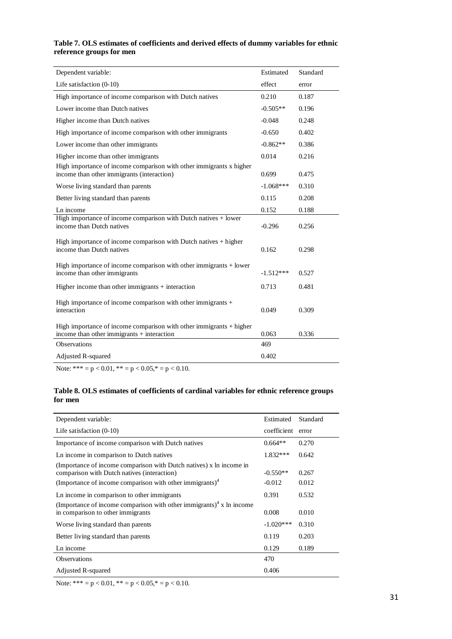| Table 7. OLS estimates of coefficients and derived effects of dummy variables for ethnic |  |  |  |
|------------------------------------------------------------------------------------------|--|--|--|
| reference groups for men                                                                 |  |  |  |

| Dependent variable:                                                                                                 | Estimated   | Standard |
|---------------------------------------------------------------------------------------------------------------------|-------------|----------|
| Life satisfaction $(0-10)$                                                                                          | effect      | error    |
| High importance of income comparison with Dutch natives                                                             | 0.210       | 0.187    |
| Lower income than Dutch natives                                                                                     | $-0.505**$  | 0.196    |
| Higher income than Dutch natives                                                                                    | $-0.048$    | 0.248    |
| High importance of income comparison with other immigrants                                                          | $-0.650$    | 0.402    |
| Lower income than other immigrants                                                                                  | $-0.862**$  | 0.386    |
| Higher income than other immigrants                                                                                 | 0.014       | 0.216    |
| High importance of income comparison with other immigrants x higher<br>income than other immigrants (interaction)   | 0.699       | 0.475    |
| Worse living standard than parents                                                                                  | $-1.068***$ | 0.310    |
| Better living standard than parents                                                                                 | 0.115       | 0.208    |
| Ln income                                                                                                           | 0.152       | 0.188    |
| High importance of income comparison with Dutch natives + lower<br>income than Dutch natives                        | $-0.296$    | 0.256    |
| High importance of income comparison with Dutch natives $+$ higher<br>income than Dutch natives                     | 0.162       | 0.298    |
| High importance of income comparison with other immigrants $+$ lower<br>income than other immigrants                | $-1.512***$ | 0.527    |
| Higher income than other immigrants $+$ interaction                                                                 | 0.713       | 0.481    |
| High importance of income comparison with other immigrants $+$<br>interaction                                       | 0.049       | 0.309    |
| High importance of income comparison with other immigrants $+$ higher<br>income than other immigrants + interaction | 0.063       | 0.336    |
| <b>Observations</b>                                                                                                 | 469         |          |
| Adjusted R-squared                                                                                                  | 0.402       |          |

Note: \*\*\* = p < 0.01, \*\* = p < 0.05,\* = p < 0.10.

### **Table 8. OLS estimates of coefficients of cardinal variables for ethnic reference groups for men**

| Dependent variable:                                                                                                                                                                        | Estimated              | Standard       |
|--------------------------------------------------------------------------------------------------------------------------------------------------------------------------------------------|------------------------|----------------|
| Life satisfaction $(0-10)$                                                                                                                                                                 | coefficient            | error          |
| Importance of income comparison with Dutch natives                                                                                                                                         | $0.664**$              | 0.270          |
| Ln income in comparison to Dutch natives                                                                                                                                                   | $1.832***$             | 0.642          |
| (Importance of income comparison with Dutch natives) x ln income in<br>comparison with Dutch natives (interaction)<br>(Importance of income comparison with other immigrants) <sup>4</sup> | $-0.550**$<br>$-0.012$ | 0.267<br>0.012 |
| Ln income in comparison to other immigrants                                                                                                                                                | 0.391                  | 0.532          |
| (Importance of income comparison with other immigrants) <sup>4</sup> x ln income<br>in comparison to other immigrants                                                                      | 0.008                  | 0.010          |
| Worse living standard than parents                                                                                                                                                         | $-1.020***$            | 0.310          |
| Better living standard than parents                                                                                                                                                        | 0.119                  | 0.203          |
| Ln income                                                                                                                                                                                  | 0.129                  | 0.189          |
| <b>Observations</b>                                                                                                                                                                        | 470                    |                |
| Adjusted R-squared                                                                                                                                                                         | 0.406                  |                |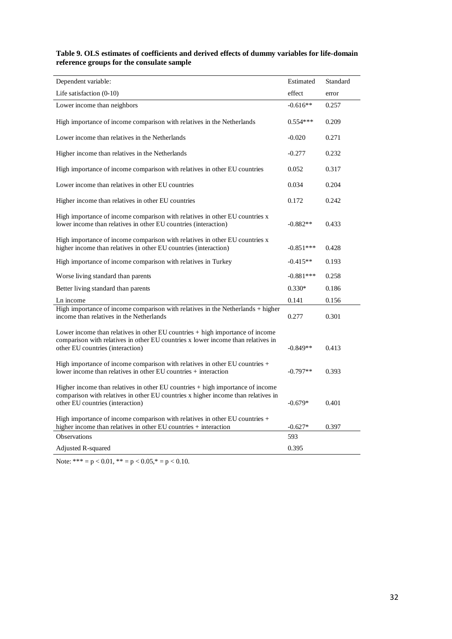**Table 9. OLS estimates of coefficients and derived effects of dummy variables for life-domain reference groups for the consulate sample**

| Dependent variable:                                                                                                                                                                                     | Estimated   | Standard |
|---------------------------------------------------------------------------------------------------------------------------------------------------------------------------------------------------------|-------------|----------|
| Life satisfaction $(0-10)$                                                                                                                                                                              | effect      | error    |
| Lower income than neighbors                                                                                                                                                                             | $-0.616**$  | 0.257    |
| High importance of income comparison with relatives in the Netherlands                                                                                                                                  | $0.554***$  | 0.209    |
| Lower income than relatives in the Netherlands                                                                                                                                                          | $-0.020$    | 0.271    |
| Higher income than relatives in the Netherlands                                                                                                                                                         | $-0.277$    | 0.232    |
| High importance of income comparison with relatives in other EU countries                                                                                                                               | 0.052       | 0.317    |
| Lower income than relatives in other EU countries                                                                                                                                                       | 0.034       | 0.204    |
| Higher income than relatives in other EU countries                                                                                                                                                      | 0.172       | 0.242    |
| High importance of income comparison with relatives in other EU countries x<br>lower income than relatives in other EU countries (interaction)                                                          | $-0.882**$  | 0.433    |
| High importance of income comparison with relatives in other EU countries x<br>higher income than relatives in other EU countries (interaction)                                                         | $-0.851***$ | 0.428    |
| High importance of income comparison with relatives in Turkey                                                                                                                                           | $-0.415**$  | 0.193    |
| Worse living standard than parents                                                                                                                                                                      | $-0.881***$ | 0.258    |
| Better living standard than parents                                                                                                                                                                     | $0.330*$    | 0.186    |
| Ln income                                                                                                                                                                                               | 0.141       | 0.156    |
| High importance of income comparison with relatives in the Netherlands + higher<br>income than relatives in the Netherlands                                                                             | 0.277       | 0.301    |
| Lower income than relatives in other EU countries $+$ high importance of income<br>comparison with relatives in other EU countries x lower income than relatives in<br>other EU countries (interaction) | $-0.849**$  | 0.413    |
| High importance of income comparison with relatives in other EU countries $+$<br>lower income than relatives in other EU countries + interaction                                                        | $-0.797**$  | 0.393    |
| Higher income than relatives in other EU countries + high importance of income<br>comparison with relatives in other EU countries x higher income than relatives in<br>other EU countries (interaction) | $-0.679*$   | 0.401    |
| High importance of income comparison with relatives in other EU countries +<br>higher income than relatives in other EU countries + interaction                                                         | $-0.627*$   | 0.397    |
| <b>Observations</b>                                                                                                                                                                                     | 593         |          |
| Adjusted R-squared                                                                                                                                                                                      | 0.395       |          |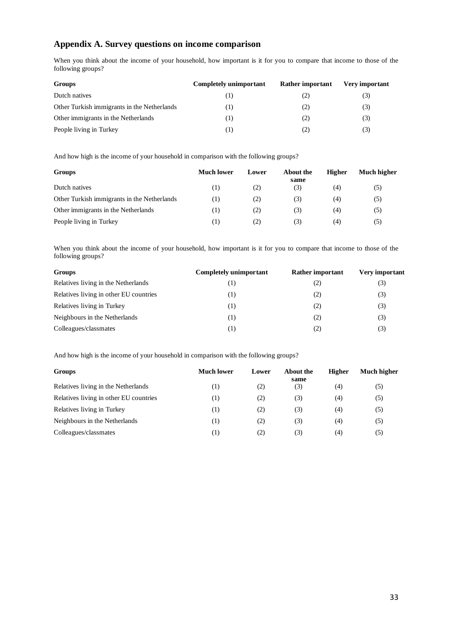# **Appendix A. Survey questions on income comparison**

When you think about the income of your household, how important is it for you to compare that income to those of the following groups?

| Groups                                      | Completely unimportant | <b>Rather important</b> | <b>Very important</b> |
|---------------------------------------------|------------------------|-------------------------|-----------------------|
| Dutch natives                               |                        | (2)                     | (3)                   |
| Other Turkish immigrants in the Netherlands | 1)                     | (2)                     | (3)                   |
| Other immigrants in the Netherlands         | 1)                     | (2)                     | (3)                   |
| People living in Turkey                     | 1)                     | (2)                     | (3)                   |

And how high is the income of your household in comparison with the following groups?

| <b>Groups</b>                               | Much lower | Lower | About the<br>same | Higher | Much higher |
|---------------------------------------------|------------|-------|-------------------|--------|-------------|
| Dutch natives                               | (1)        | (2)   | (3)               | (4)    | (5)         |
| Other Turkish immigrants in the Netherlands | (1)        | (2)   | (3)               | (4)    | (5)         |
| Other immigrants in the Netherlands         | (1)        | (2)   | (3)               | (4)    | (5)         |
| People living in Turkey                     | Ю          | 2)    | (3)               | (4)    | (5)         |

When you think about the income of your household, how important is it for you to compare that income to those of the following groups?

| Completely unimportant | Rather important | <b>Very important</b> |
|------------------------|------------------|-----------------------|
| (1)                    | (2)              | (3)                   |
| $^{(1)}$               | (2)              | (3)                   |
| $^{(1)}$               | (2)              | (3)                   |
| $^{(1)}$               | (2)              | (3)                   |
| (1)                    | (2)              | (3)                   |
|                        |                  |                       |

And how high is the income of your household in comparison with the following groups?

| <b>Groups</b>                          | <b>Much lower</b> | Lower | About the<br>same | Higher | <b>Much higher</b> |
|----------------------------------------|-------------------|-------|-------------------|--------|--------------------|
| Relatives living in the Netherlands    | (1)               | (2)   | (3)               | (4)    | (5)                |
| Relatives living in other EU countries | $\left(1\right)$  | (2)   | (3)               | (4)    | (5)                |
| Relatives living in Turkey             | $\left(1\right)$  | (2)   | (3)               | (4)    | (5)                |
| Neighbours in the Netherlands          | $\left(1\right)$  | (2)   | (3)               | (4)    | (5)                |
| Colleagues/classmates                  | (1)               | (2)   | (3)               | (4)    | (5)                |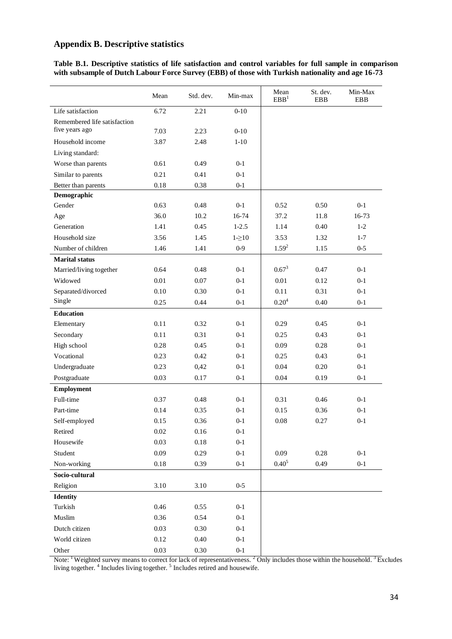# **Appendix B. Descriptive statistics**

**Table B.1. Descriptive statistics of life satisfaction and control variables for full sample in comparison with subsample of Dutch Labour Force Survey (EBB) of those with Turkish nationality and age 16-73**

|                              | Mean     | Std. dev. | Min-max  | Mean<br>EBB <sup>1</sup> | St. dev.<br><b>EBB</b> | Min-Max<br><b>EBB</b> |
|------------------------------|----------|-----------|----------|--------------------------|------------------------|-----------------------|
| Life satisfaction            | 6.72     | 2.21      | $0 - 10$ |                          |                        |                       |
| Remembered life satisfaction |          |           |          |                          |                        |                       |
| five years ago               | 7.03     | 2.23      | $0 - 10$ |                          |                        |                       |
| Household income             | 3.87     | 2.48      | $1 - 10$ |                          |                        |                       |
| Living standard:             |          |           |          |                          |                        |                       |
| Worse than parents           | 0.61     | 0.49      | $0 - 1$  |                          |                        |                       |
| Similar to parents           | 0.21     | 0.41      | $0 - 1$  |                          |                        |                       |
| Better than parents          | $0.18\,$ | 0.38      | $0 - 1$  |                          |                        |                       |
| Demographic                  |          |           |          |                          |                        |                       |
| Gender                       | 0.63     | 0.48      | $0-1$    | 0.52                     | 0.50                   | $0 - 1$               |
| Age                          | 36.0     | 10.2      | $16-74$  | 37.2                     | 11.8                   | $16-73$               |
| Generation                   | 1.41     | 0.45      | $1-2.5$  | 1.14                     | 0.40                   | $1 - 2$               |
| Household size               | 3.56     | 1.45      | $1-20$   | 3.53                     | 1.32                   | $1 - 7$               |
| Number of children           | 1.46     | 1.41      | $0-9$    | $1.59^{2}$               | 1.15                   | $0 - 5$               |
| <b>Marital status</b>        |          |           |          |                          |                        |                       |
| Married/living together      | 0.64     | 0.48      | $0 - 1$  | $0.67^{3}$               | 0.47                   | $0 - 1$               |
| Widowed                      | 0.01     | 0.07      | $0 - 1$  | 0.01                     | 0.12                   | $0 - 1$               |
| Separated/divorced           | 0.10     | 0.30      | $0 - 1$  | 0.11                     | 0.31                   | $0 - 1$               |
| Single                       | 0.25     | 0.44      | $0 - 1$  | $0.20^{4}$               | 0.40                   | $0 - 1$               |
| <b>Education</b>             |          |           |          |                          |                        |                       |
| Elementary                   | 0.11     | 0.32      | $0 - 1$  | 0.29                     | 0.45                   | $0 - 1$               |
| Secondary                    | 0.11     | 0.31      | $0 - 1$  | 0.25                     | 0.43                   | $0 - 1$               |
| High school                  | 0.28     | 0.45      | $0 - 1$  | 0.09                     | 0.28                   | $0 - 1$               |
| Vocational                   | 0.23     | 0.42      | $0 - 1$  | 0.25                     | 0.43                   | $0 - 1$               |
| Undergraduate                | 0.23     | 0,42      | $0 - 1$  | 0.04                     | 0.20                   | $0 - 1$               |
| Postgraduate                 | 0.03     | 0.17      | $0-1$    | 0.04                     | 0.19                   | $0 - 1$               |
| <b>Employment</b>            |          |           |          |                          |                        |                       |
| Full-time                    | 0.37     | 0.48      | $0 - 1$  | 0.31                     | 0.46                   | $0 - 1$               |
| Part-time                    | 0.14     | 0.35      | $0 - 1$  | 0.15                     | 0.36                   | $0 - 1$               |
| Self-employed                | 0.15     | 0.36      | $0 - 1$  | 0.08                     | 0.27                   | $0 - 1$               |
| Retired                      | $0.02\,$ | $0.16\,$  | $0-1$    |                          |                        |                       |
| Housewife                    | 0.03     | $0.18\,$  | $0-1$    |                          |                        |                       |
| Student                      | 0.09     | 0.29      | $0-1$    | 0.09                     | 0.28                   | $0 - 1$               |
| Non-working                  | $0.18\,$ | 0.39      | $0-1$    | $0.40^{5}$               | 0.49                   | $0-1$                 |
| Socio-cultural               |          |           |          |                          |                        |                       |
| Religion                     | 3.10     | 3.10      | $0 - 5$  |                          |                        |                       |
| <b>Identity</b>              |          |           |          |                          |                        |                       |
| Turkish                      | 0.46     | 0.55      | $0-1$    |                          |                        |                       |
| $\mathbf{M}$ uslim           | 0.36     | 0.54      | $0-1$    |                          |                        |                       |
| Dutch citizen                | 0.03     | 0.30      | $0-1$    |                          |                        |                       |
| World citizen                | 0.12     | $0.40\,$  | $0-1$    |                          |                        |                       |
| Other                        | 0.03     | $0.30\,$  | $0-1$    |                          |                        |                       |

Note: <sup>1</sup> Weighted survey means to correct for lack of representativeness. <sup>2</sup> Only includes those within the household. <sup>3</sup> Excludes living together.<sup>4</sup> Includes living together.<sup>5</sup> Includes retired and housewife.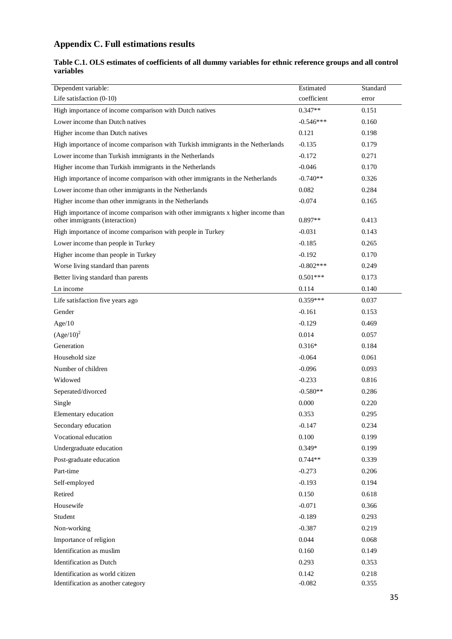# **Appendix C. Full estimations results**

| Table C.1. OLS estimates of coefficients of all dummy variables for ethnic reference groups and all control |  |
|-------------------------------------------------------------------------------------------------------------|--|
| variables                                                                                                   |  |

| Dependent variable:<br>Life satisfaction $(0-10)$                                                                 | Estimated<br>coefficient | Standard       |
|-------------------------------------------------------------------------------------------------------------------|--------------------------|----------------|
|                                                                                                                   | $0.347**$                | error<br>0.151 |
| High importance of income comparison with Dutch natives                                                           |                          | 0.160          |
| Lower income than Dutch natives                                                                                   | $-0.546***$              |                |
| Higher income than Dutch natives                                                                                  | 0.121                    | 0.198          |
| High importance of income comparison with Turkish immigrants in the Netherlands                                   | $-0.135$                 | 0.179          |
| Lower income than Turkish immigrants in the Netherlands                                                           | $-0.172$                 | 0.271          |
| Higher income than Turkish immigrants in the Netherlands                                                          | $-0.046$                 | 0.170          |
| High importance of income comparison with other immigrants in the Netherlands                                     | $-0.740**$               | 0.326          |
| Lower income than other immigrants in the Netherlands                                                             | 0.082                    | 0.284          |
| Higher income than other immigrants in the Netherlands                                                            | $-0.074$                 | 0.165          |
| High importance of income comparison with other immigrants x higher income than<br>other immigrants (interaction) | $0.897**$                | 0.413          |
| High importance of income comparison with people in Turkey                                                        | $-0.031$                 | 0.143          |
| Lower income than people in Turkey                                                                                | $-0.185$                 | 0.265          |
| Higher income than people in Turkey                                                                               | $-0.192$                 | 0.170          |
| Worse living standard than parents                                                                                | $-0.802***$              | 0.249          |
| Better living standard than parents                                                                               | $0.501***$               | 0.173          |
| Ln income                                                                                                         | 0.114                    | 0.140          |
| Life satisfaction five years ago                                                                                  | $0.359***$               | 0.037          |
| Gender                                                                                                            | $-0.161$                 | 0.153          |
| Age/10                                                                                                            | $-0.129$                 | 0.469          |
| $(Age/10)^2$                                                                                                      | 0.014                    | 0.057          |
| Generation                                                                                                        | $0.316*$                 | 0.184          |
| Household size                                                                                                    | $-0.064$                 | 0.061          |
| Number of children                                                                                                | $-0.096$                 | 0.093          |
| Widowed                                                                                                           | $-0.233$                 | 0.816          |
| Seperated/divorced                                                                                                | $-0.580**$               | 0.286          |
| Single                                                                                                            | 0.000                    | 0.220          |
| Elementary education                                                                                              | 0.353                    | 0.295          |
| Secondary education                                                                                               | $-0.147$                 | 0.234          |
| Vocational education                                                                                              | 0.100                    | 0.199          |
| Undergraduate education                                                                                           | 0.349*                   | 0.199          |
| Post-graduate education                                                                                           | $0.744**$                | 0.339          |
| Part-time                                                                                                         | $-0.273$                 | 0.206          |
| Self-employed                                                                                                     | $-0.193$                 | 0.194          |
| Retired                                                                                                           | 0.150                    | 0.618          |
| Housewife                                                                                                         | $-0.071$                 | 0.366          |
| Student                                                                                                           | $-0.189$                 | 0.293          |
| Non-working                                                                                                       | $-0.387$                 | 0.219          |
| Importance of religion                                                                                            | 0.044                    | 0.068          |
| Identification as muslim                                                                                          | 0.160                    | 0.149          |
| <b>Identification</b> as Dutch                                                                                    | 0.293                    | 0.353          |
| Identification as world citizen                                                                                   | 0.142                    | 0.218          |
| Identification as another category                                                                                | $-0.082$                 | 0.355          |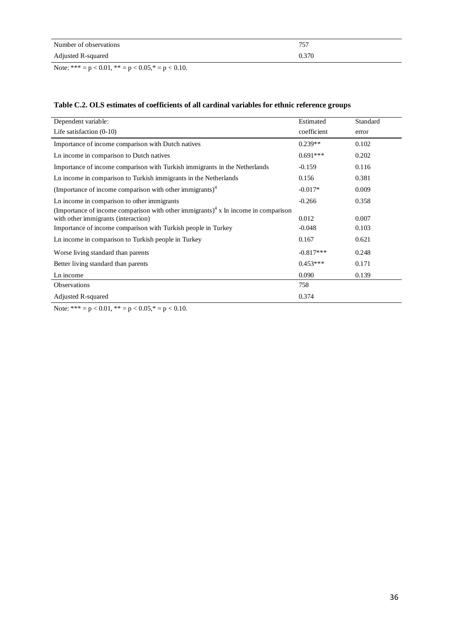| Number of observations | 757   |
|------------------------|-------|
| Adjusted R-squared     | 0.370 |

Note: \*\*\* = p < 0.01, \*\* = p < 0.05,\* = p < 0.10.

# **Table C.2. OLS estimates of coefficients of all cardinal variables for ethnic reference groups**

| Dependent variable:                                                                            | Estimated         | Standard |
|------------------------------------------------------------------------------------------------|-------------------|----------|
| Life satisfaction $(0-10)$                                                                     | coefficient       | error    |
| Importance of income comparison with Dutch natives                                             | $0.239**$         | 0.102    |
| Ln income in comparison to Dutch natives                                                       | $0.691***$        | 0.202    |
| Importance of income comparison with Turkish immigrants in the Netherlands                     | $-0.159$          | 0.116    |
| Ln income in comparison to Turkish immigrants in the Netherlands                               | 0.156             | 0.381    |
| (Importance of income comparison with other immigrants) $4$                                    | $-0.017*$         | 0.009    |
| Ln income in comparison to other immigrants                                                    | $-0.266$          | 0.358    |
| (Importance of income comparison with other immigrants) <sup>4</sup> x ln income in comparison |                   | 0.007    |
| with other immigrants (interaction)                                                            | 0.012<br>$-0.048$ | 0.103    |
| Importance of income comparison with Turkish people in Turkey                                  |                   |          |
| Ln income in comparison to Turkish people in Turkey                                            | 0.167             | 0.621    |
| Worse living standard than parents                                                             | $-0.817***$       | 0.248    |
| Better living standard than parents                                                            | $0.453***$        | 0.171    |
| Ln income                                                                                      | 0.090             | 0.139    |
| <b>Observations</b>                                                                            | 758               |          |
| <b>Adjusted R-squared</b>                                                                      | 0.374             |          |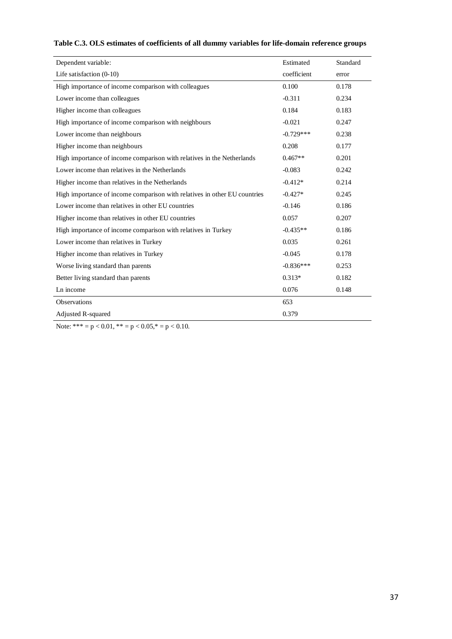| Estimated   | Standard |
|-------------|----------|
| coefficient | error    |
| 0.100       | 0.178    |
| $-0.311$    | 0.234    |
| 0.184       | 0.183    |
| $-0.021$    | 0.247    |
| $-0.729***$ | 0.238    |
| 0.208       | 0.177    |
| $0.467**$   | 0.201    |
| $-0.083$    | 0.242    |
| $-0.412*$   | 0.214    |
| $-0.427*$   | 0.245    |
| $-0.146$    | 0.186    |
| 0.057       | 0.207    |
| $-0.435**$  | 0.186    |
| 0.035       | 0.261    |
| $-0.045$    | 0.178    |
| $-0.836***$ | 0.253    |
| $0.313*$    | 0.182    |
| 0.076       | 0.148    |
| 653         |          |
| 0.379       |          |
|             |          |

# **Table C.3. OLS estimates of coefficients of all dummy variables for life-domain reference groups**